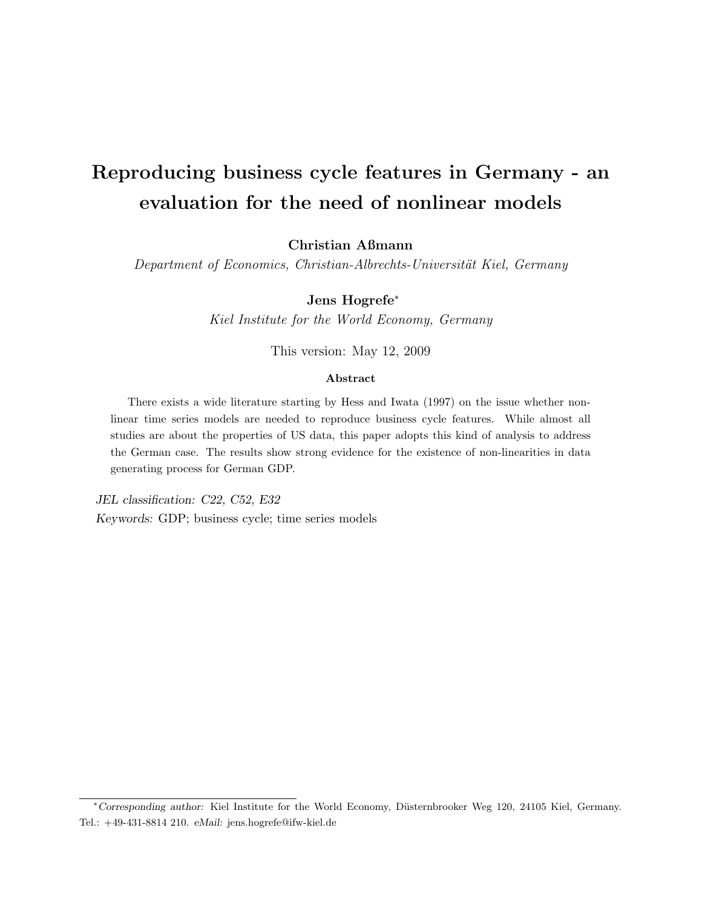# Reproducing business cycle features in Germany - an evaluation for the need of nonlinear models

Christian Aßmann

Department of Economics, Christian-Albrechts-Universität Kiel, Germany

## Jens Hogrefe<sup>∗</sup>

Kiel Institute for the World Economy, Germany

This version: May 12, 2009

## Abstract

There exists a wide literature starting by Hess and Iwata (1997) on the issue whether nonlinear time series models are needed to reproduce business cycle features. While almost all studies are about the properties of US data, this paper adopts this kind of analysis to address the German case. The results show strong evidence for the existence of non-linearities in data generating process for German GDP.

JEL classification: C22, C52, E32 Keywords: GDP; business cycle; time series models

<sup>∗</sup>Corresponding author: Kiel Institute for the World Economy, D¨usternbrooker Weg 120, 24105 Kiel, Germany. Tel.: +49-431-8814 210. eMail: jens.hogrefe@ifw-kiel.de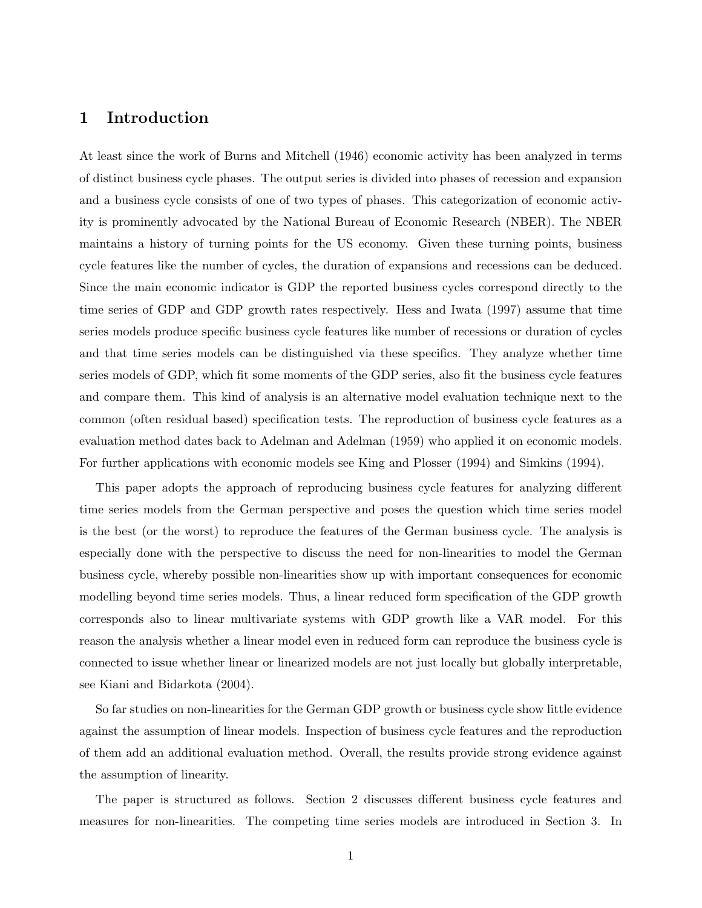## 1 Introduction

At least since the work of Burns and Mitchell (1946) economic activity has been analyzed in terms of distinct business cycle phases. The output series is divided into phases of recession and expansion and a business cycle consists of one of two types of phases. This categorization of economic activity is prominently advocated by the National Bureau of Economic Research (NBER). The NBER maintains a history of turning points for the US economy. Given these turning points, business cycle features like the number of cycles, the duration of expansions and recessions can be deduced. Since the main economic indicator is GDP the reported business cycles correspond directly to the time series of GDP and GDP growth rates respectively. Hess and Iwata (1997) assume that time series models produce specific business cycle features like number of recessions or duration of cycles and that time series models can be distinguished via these specifics. They analyze whether time series models of GDP, which fit some moments of the GDP series, also fit the business cycle features and compare them. This kind of analysis is an alternative model evaluation technique next to the common (often residual based) specification tests. The reproduction of business cycle features as a evaluation method dates back to Adelman and Adelman (1959) who applied it on economic models. For further applications with economic models see King and Plosser (1994) and Simkins (1994).

This paper adopts the approach of reproducing business cycle features for analyzing different time series models from the German perspective and poses the question which time series model is the best (or the worst) to reproduce the features of the German business cycle. The analysis is especially done with the perspective to discuss the need for non-linearities to model the German business cycle, whereby possible non-linearities show up with important consequences for economic modelling beyond time series models. Thus, a linear reduced form specification of the GDP growth corresponds also to linear multivariate systems with GDP growth like a VAR model. For this reason the analysis whether a linear model even in reduced form can reproduce the business cycle is connected to issue whether linear or linearized models are not just locally but globally interpretable, see Kiani and Bidarkota (2004).

So far studies on non-linearities for the German GDP growth or business cycle show little evidence against the assumption of linear models. Inspection of business cycle features and the reproduction of them add an additional evaluation method. Overall, the results provide strong evidence against the assumption of linearity.

The paper is structured as follows. Section 2 discusses different business cycle features and measures for non-linearities. The competing time series models are introduced in Section 3. In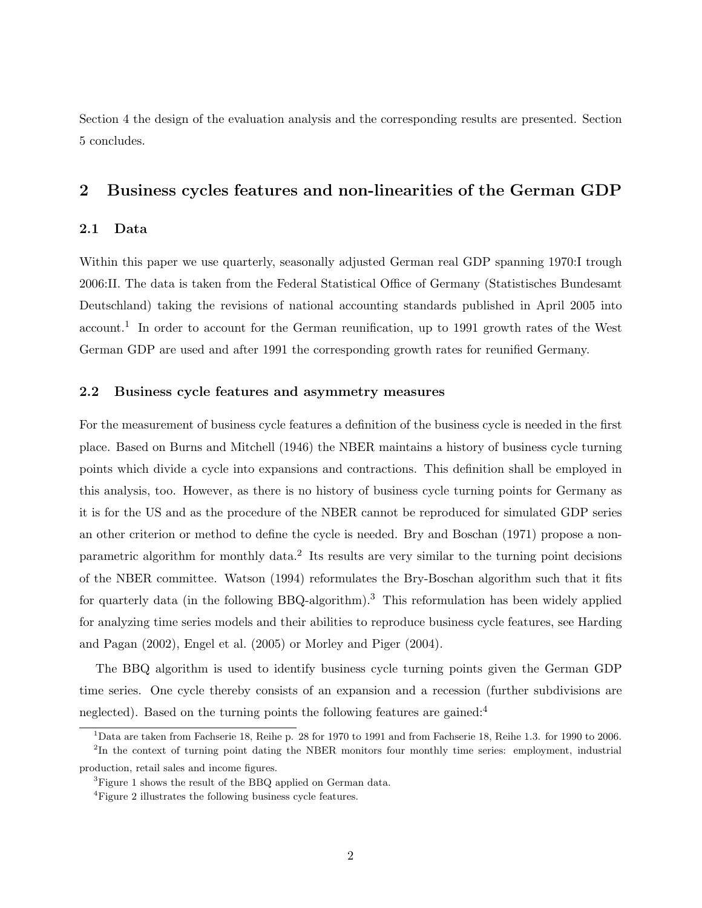Section 4 the design of the evaluation analysis and the corresponding results are presented. Section 5 concludes.

# 2 Business cycles features and non-linearities of the German GDP

#### 2.1 Data

Within this paper we use quarterly, seasonally adjusted German real GDP spanning 1970: I trough 2006:II. The data is taken from the Federal Statistical Office of Germany (Statistisches Bundesamt Deutschland) taking the revisions of national accounting standards published in April 2005 into account.<sup>1</sup> In order to account for the German reunification, up to 1991 growth rates of the West German GDP are used and after 1991 the corresponding growth rates for reunified Germany.

## 2.2 Business cycle features and asymmetry measures

For the measurement of business cycle features a definition of the business cycle is needed in the first place. Based on Burns and Mitchell (1946) the NBER maintains a history of business cycle turning points which divide a cycle into expansions and contractions. This definition shall be employed in this analysis, too. However, as there is no history of business cycle turning points for Germany as it is for the US and as the procedure of the NBER cannot be reproduced for simulated GDP series an other criterion or method to define the cycle is needed. Bry and Boschan (1971) propose a nonparametric algorithm for monthly data.<sup>2</sup> Its results are very similar to the turning point decisions of the NBER committee. Watson (1994) reformulates the Bry-Boschan algorithm such that it fits for quarterly data (in the following BBQ-algorithm).<sup>3</sup> This reformulation has been widely applied for analyzing time series models and their abilities to reproduce business cycle features, see Harding and Pagan (2002), Engel et al. (2005) or Morley and Piger (2004).

The BBQ algorithm is used to identify business cycle turning points given the German GDP time series. One cycle thereby consists of an expansion and a recession (further subdivisions are neglected). Based on the turning points the following features are gained:<sup>4</sup>

 $1$ Data are taken from Fachserie 18, Reihe p. 28 for 1970 to 1991 and from Fachserie 18, Reihe 1.3. for 1990 to 2006. <sup>2</sup>In the context of turning point dating the NBER monitors four monthly time series: employment, industrial

production, retail sales and income figures.

 ${}^{3}$ Figure 1 shows the result of the BBQ applied on German data.

<sup>&</sup>lt;sup>4</sup>Figure 2 illustrates the following business cycle features.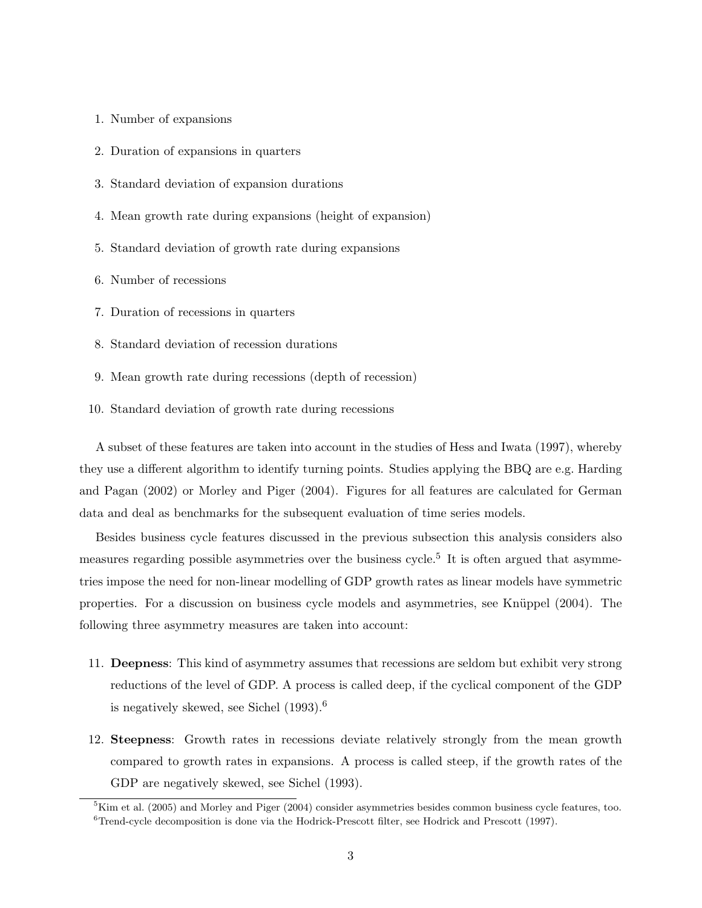- 1. Number of expansions
- 2. Duration of expansions in quarters
- 3. Standard deviation of expansion durations
- 4. Mean growth rate during expansions (height of expansion)
- 5. Standard deviation of growth rate during expansions
- 6. Number of recessions
- 7. Duration of recessions in quarters
- 8. Standard deviation of recession durations
- 9. Mean growth rate during recessions (depth of recession)
- 10. Standard deviation of growth rate during recessions

A subset of these features are taken into account in the studies of Hess and Iwata (1997), whereby they use a different algorithm to identify turning points. Studies applying the BBQ are e.g. Harding and Pagan (2002) or Morley and Piger (2004). Figures for all features are calculated for German data and deal as benchmarks for the subsequent evaluation of time series models.

Besides business cycle features discussed in the previous subsection this analysis considers also measures regarding possible asymmetries over the business cycle.<sup>5</sup> It is often argued that asymmetries impose the need for non-linear modelling of GDP growth rates as linear models have symmetric properties. For a discussion on business cycle models and asymmetries, see Knüppel (2004). The following three asymmetry measures are taken into account:

- 11. Deepness: This kind of asymmetry assumes that recessions are seldom but exhibit very strong reductions of the level of GDP. A process is called deep, if the cyclical component of the GDP is negatively skewed, see Sichel (1993).<sup>6</sup>
- 12. Steepness: Growth rates in recessions deviate relatively strongly from the mean growth compared to growth rates in expansions. A process is called steep, if the growth rates of the GDP are negatively skewed, see Sichel (1993).

 ${}^{5}$ Kim et al. (2005) and Morley and Piger (2004) consider asymmetries besides common business cycle features, too.  ${}^{6}$ Trend-cycle decomposition is done via the Hodrick-Prescott filter, see Hodrick and Prescott (1997).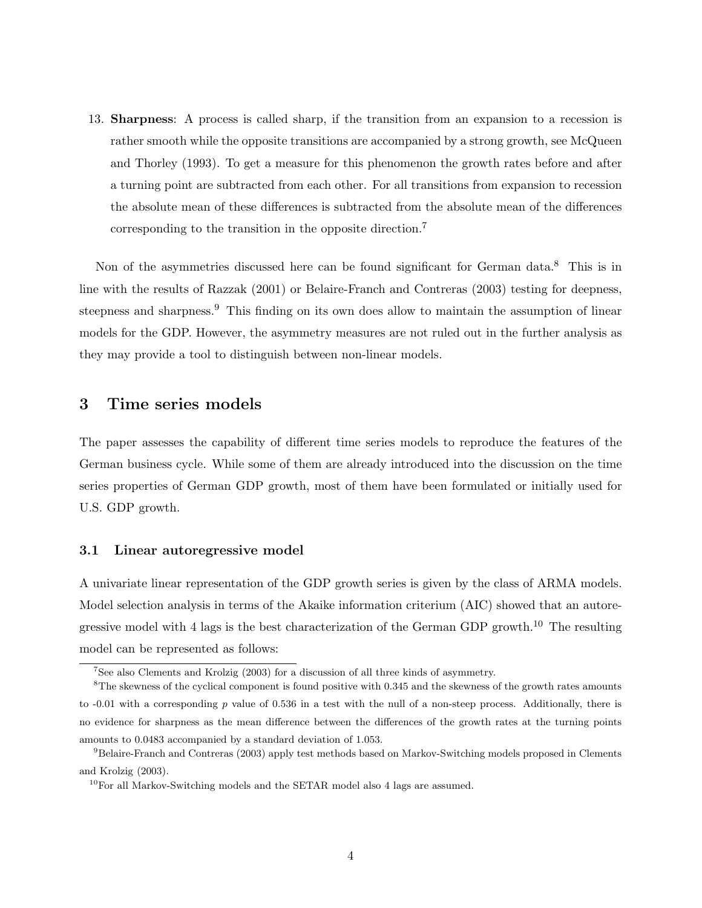13. Sharpness: A process is called sharp, if the transition from an expansion to a recession is rather smooth while the opposite transitions are accompanied by a strong growth, see McQueen and Thorley (1993). To get a measure for this phenomenon the growth rates before and after a turning point are subtracted from each other. For all transitions from expansion to recession the absolute mean of these differences is subtracted from the absolute mean of the differences corresponding to the transition in the opposite direction.<sup>7</sup>

Non of the asymmetries discussed here can be found significant for German data.<sup>8</sup> This is in line with the results of Razzak (2001) or Belaire-Franch and Contreras (2003) testing for deepness, steepness and sharpness.<sup>9</sup> This finding on its own does allow to maintain the assumption of linear models for the GDP. However, the asymmetry measures are not ruled out in the further analysis as they may provide a tool to distinguish between non-linear models.

# 3 Time series models

The paper assesses the capability of different time series models to reproduce the features of the German business cycle. While some of them are already introduced into the discussion on the time series properties of German GDP growth, most of them have been formulated or initially used for U.S. GDP growth.

#### 3.1 Linear autoregressive model

A univariate linear representation of the GDP growth series is given by the class of ARMA models. Model selection analysis in terms of the Akaike information criterium (AIC) showed that an autoregressive model with 4 lags is the best characterization of the German GDP growth.<sup>10</sup> The resulting model can be represented as follows:

<sup>7</sup>See also Clements and Krolzig (2003) for a discussion of all three kinds of asymmetry.

 ${}^{8}$ The skewness of the cyclical component is found positive with 0.345 and the skewness of the growth rates amounts to  $-0.01$  with a corresponding p value of 0.536 in a test with the null of a non-steep process. Additionally, there is no evidence for sharpness as the mean difference between the differences of the growth rates at the turning points amounts to 0.0483 accompanied by a standard deviation of 1.053.

<sup>9</sup>Belaire-Franch and Contreras (2003) apply test methods based on Markov-Switching models proposed in Clements and Krolzig (2003).

<sup>&</sup>lt;sup>10</sup>For all Markov-Switching models and the SETAR model also 4 lags are assumed.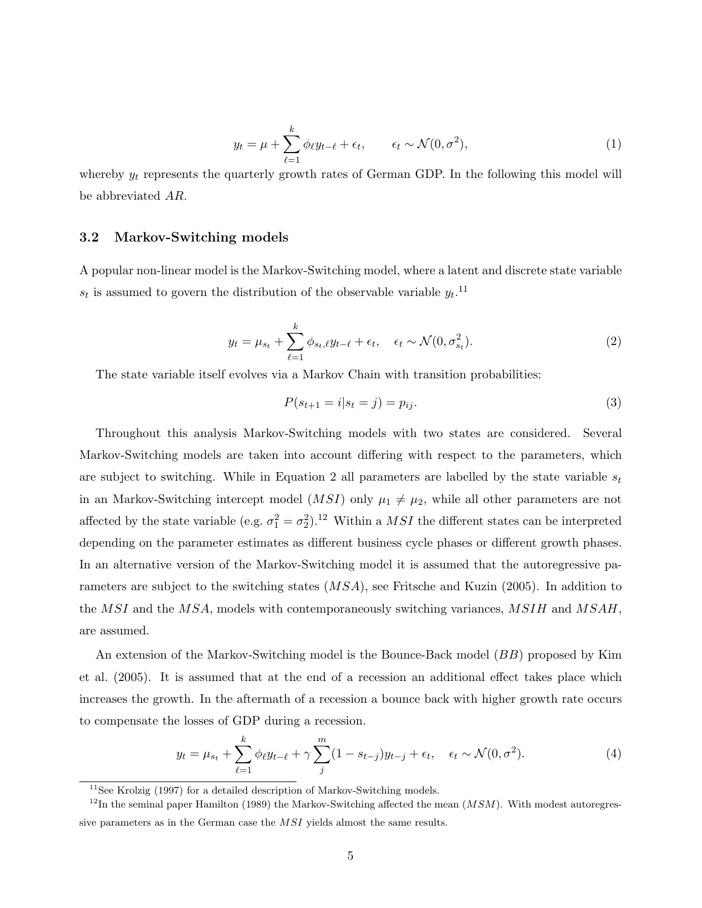$$
y_t = \mu + \sum_{\ell=1}^k \phi_\ell y_{t-\ell} + \epsilon_t, \qquad \epsilon_t \sim \mathcal{N}(0, \sigma^2), \tag{1}
$$

whereby  $y_t$  represents the quarterly growth rates of German GDP. In the following this model will be abbreviated AR.

#### 3.2 Markov-Switching models

A popular non-linear model is the Markov-Switching model, where a latent and discrete state variable  $s_t$  is assumed to govern the distribution of the observable variable  $y_t$ .<sup>11</sup>

$$
y_t = \mu_{s_t} + \sum_{\ell=1}^k \phi_{s_t, \ell} y_{t-\ell} + \epsilon_t, \quad \epsilon_t \sim \mathcal{N}(0, \sigma_{s_t}^2). \tag{2}
$$

The state variable itself evolves via a Markov Chain with transition probabilities:

$$
P(s_{t+1} = i | s_t = j) = p_{ij}.
$$
\n(3)

Throughout this analysis Markov-Switching models with two states are considered. Several Markov-Switching models are taken into account differing with respect to the parameters, which are subject to switching. While in Equation 2 all parameters are labelled by the state variable  $s_t$ in an Markov-Switching intercept model  $(MSI)$  only  $\mu_1 \neq \mu_2$ , while all other parameters are not affected by the state variable (e.g.  $\sigma_1^2 = \sigma_2^2$ ).<sup>12</sup> Within a *MSI* the different states can be interpreted depending on the parameter estimates as different business cycle phases or different growth phases. In an alternative version of the Markov-Switching model it is assumed that the autoregressive parameters are subject to the switching states (MSA), see Fritsche and Kuzin (2005). In addition to the MSI and the MSA, models with contemporaneously switching variances, MSIH and MSAH, are assumed.

An extension of the Markov-Switching model is the Bounce-Back model (BB) proposed by Kim et al. (2005). It is assumed that at the end of a recession an additional effect takes place which increases the growth. In the aftermath of a recession a bounce back with higher growth rate occurs to compensate the losses of GDP during a recession.

$$
y_t = \mu_{s_t} + \sum_{\ell=1}^k \phi_\ell y_{t-\ell} + \gamma \sum_j^m (1 - s_{t-j}) y_{t-j} + \epsilon_t, \quad \epsilon_t \sim \mathcal{N}(0, \sigma^2). \tag{4}
$$

 $11$ See Krolzig (1997) for a detailed description of Markov-Switching models.

 $12$ In the seminal paper Hamilton (1989) the Markov-Switching affected the mean  $(MSM)$ . With modest autoregressive parameters as in the German case the MSI yields almost the same results.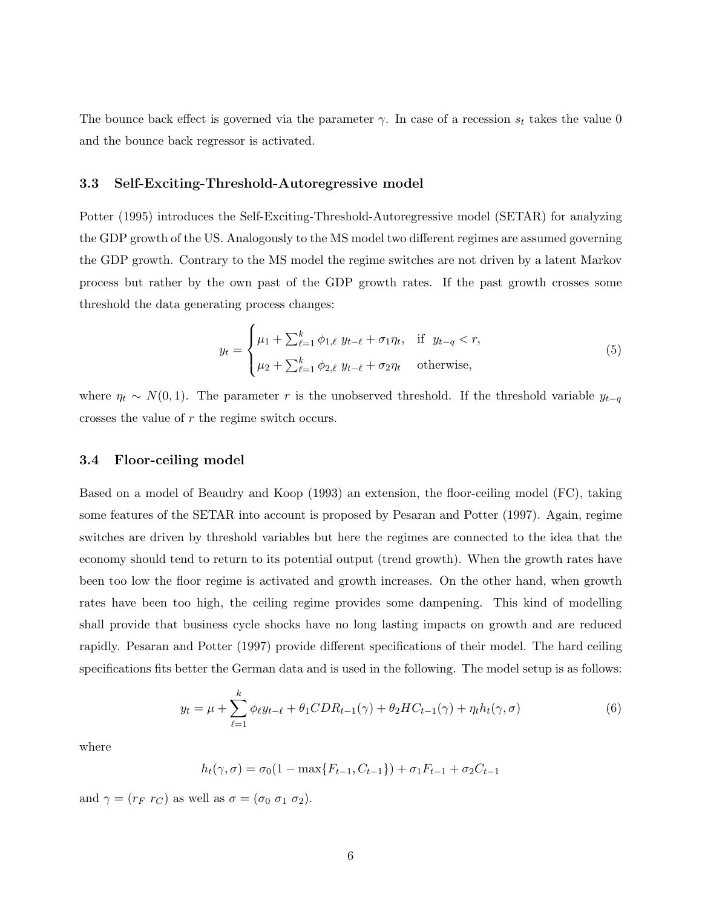The bounce back effect is governed via the parameter  $\gamma$ . In case of a recession  $s_t$  takes the value 0 and the bounce back regressor is activated.

#### 3.3 Self-Exciting-Threshold-Autoregressive model

Potter (1995) introduces the Self-Exciting-Threshold-Autoregressive model (SETAR) for analyzing the GDP growth of the US. Analogously to the MS model two different regimes are assumed governing the GDP growth. Contrary to the MS model the regime switches are not driven by a latent Markov process but rather by the own past of the GDP growth rates. If the past growth crosses some threshold the data generating process changes:

$$
y_t = \begin{cases} \mu_1 + \sum_{\ell=1}^k \phi_{1,\ell} \ y_{t-\ell} + \sigma_1 \eta_t, & \text{if } y_{t-q} < r, \\ \mu_2 + \sum_{\ell=1}^k \phi_{2,\ell} \ y_{t-\ell} + \sigma_2 \eta_t & \text{otherwise,} \end{cases}
$$
(5)

where  $\eta_t \sim N(0, 1)$ . The parameter r is the unobserved threshold. If the threshold variable  $y_{t-q}$ crosses the value of r the regime switch occurs.

#### 3.4 Floor-ceiling model

Based on a model of Beaudry and Koop (1993) an extension, the floor-ceiling model (FC), taking some features of the SETAR into account is proposed by Pesaran and Potter (1997). Again, regime switches are driven by threshold variables but here the regimes are connected to the idea that the economy should tend to return to its potential output (trend growth). When the growth rates have been too low the floor regime is activated and growth increases. On the other hand, when growth rates have been too high, the ceiling regime provides some dampening. This kind of modelling shall provide that business cycle shocks have no long lasting impacts on growth and are reduced rapidly. Pesaran and Potter (1997) provide different specifications of their model. The hard ceiling specifications fits better the German data and is used in the following. The model setup is as follows:

$$
y_t = \mu + \sum_{\ell=1}^k \phi_\ell y_{t-\ell} + \theta_1 CDR_{t-1}(\gamma) + \theta_2 HC_{t-1}(\gamma) + \eta_t h_t(\gamma, \sigma)
$$
(6)

where

$$
h_t(\gamma, \sigma) = \sigma_0(1 - \max\{F_{t-1}, C_{t-1}\}) + \sigma_1 F_{t-1} + \sigma_2 C_{t-1}
$$

and  $\gamma = (r_F r_C)$  as well as  $\sigma = (\sigma_0 \sigma_1 \sigma_2)$ .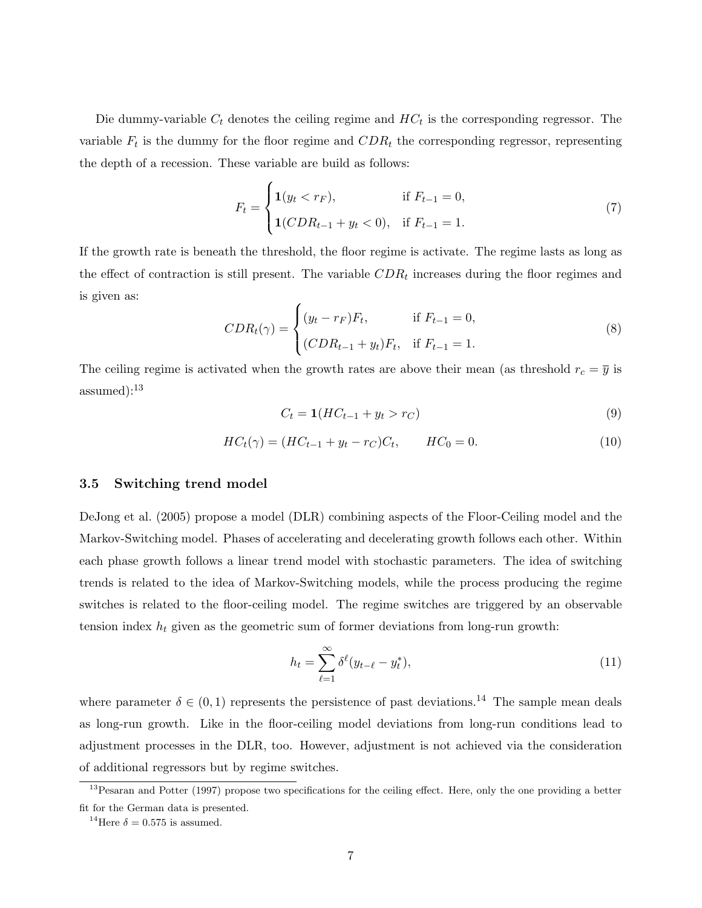Die dummy-variable  $C_t$  denotes the ceiling regime and  $HC_t$  is the corresponding regressor. The variable  $F_t$  is the dummy for the floor regime and  $CDR_t$  the corresponding regressor, representing the depth of a recession. These variable are build as follows:

$$
F_t = \begin{cases} \n\mathbf{1}(y_t < r_F), & \text{if } F_{t-1} = 0, \\ \n\mathbf{1}(CDR_{t-1} + y_t < 0), & \text{if } F_{t-1} = 1. \n\end{cases} \tag{7}
$$

If the growth rate is beneath the threshold, the floor regime is activate. The regime lasts as long as the effect of contraction is still present. The variable  $CDR_t$  increases during the floor regimes and is given as:  $\overline{a}$ 

$$
CDR_{t}(\gamma) = \begin{cases} (y_{t} - r_{F})F_{t}, & \text{if } F_{t-1} = 0, \\ (CDR_{t-1} + y_{t})F_{t}, & \text{if } F_{t-1} = 1. \end{cases}
$$
 (8)

The ceiling regime is activated when the growth rates are above their mean (as threshold  $r_c = \overline{y}$  is assumed):<sup>13</sup>

$$
C_t = \mathbf{1}(HC_{t-1} + y_t > r_C) \tag{9}
$$

$$
HC_t(\gamma) = (HC_{t-1} + y_t - r_C)C_t, \qquad HC_0 = 0.
$$
\n(10)

#### 3.5 Switching trend model

DeJong et al. (2005) propose a model (DLR) combining aspects of the Floor-Ceiling model and the Markov-Switching model. Phases of accelerating and decelerating growth follows each other. Within each phase growth follows a linear trend model with stochastic parameters. The idea of switching trends is related to the idea of Markov-Switching models, while the process producing the regime switches is related to the floor-ceiling model. The regime switches are triggered by an observable tension index  $h_t$  given as the geometric sum of former deviations from long-run growth:

$$
h_t = \sum_{\ell=1}^{\infty} \delta^{\ell} (y_{t-\ell} - y_t^*),
$$
\n(11)

where parameter  $\delta \in (0,1)$  represents the persistence of past deviations.<sup>14</sup> The sample mean deals as long-run growth. Like in the floor-ceiling model deviations from long-run conditions lead to adjustment processes in the DLR, too. However, adjustment is not achieved via the consideration of additional regressors but by regime switches.

<sup>&</sup>lt;sup>13</sup> Pesaran and Potter (1997) propose two specifications for the ceiling effect. Here, only the one providing a better fit for the German data is presented.

<sup>&</sup>lt;sup>14</sup>Here  $\delta = 0.575$  is assumed.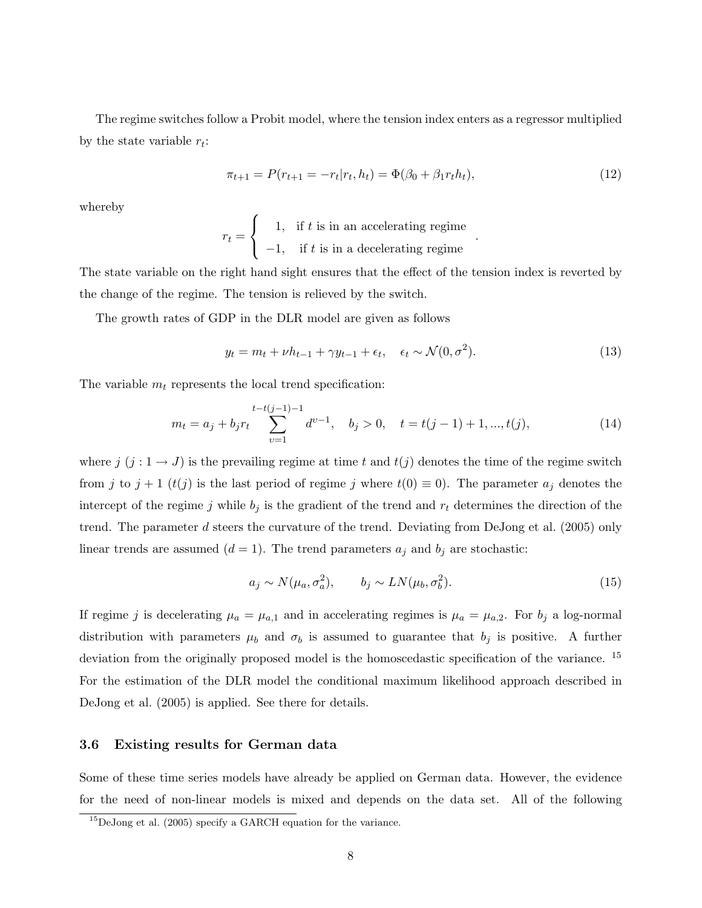The regime switches follow a Probit model, where the tension index enters as a regressor multiplied by the state variable  $r_t$ :

$$
\pi_{t+1} = P(r_{t+1} = -r_t | r_t, h_t) = \Phi(\beta_0 + \beta_1 r_t h_t), \tag{12}
$$

.

whereby

$$
r_t = \begin{cases} 1, & \text{if } t \text{ is in an accelerating regime} \\ -1, & \text{if } t \text{ is in a decelerating regime} \end{cases}
$$

The state variable on the right hand sight ensures that the effect of the tension index is reverted by the change of the regime. The tension is relieved by the switch.

The growth rates of GDP in the DLR model are given as follows

 $\overline{a}$ 

$$
y_t = m_t + \nu h_{t-1} + \gamma y_{t-1} + \epsilon_t, \quad \epsilon_t \sim \mathcal{N}(0, \sigma^2). \tag{13}
$$

The variable  $m_t$  represents the local trend specification:

$$
m_t = a_j + b_j r_t \sum_{v=1}^{t-t(j-1)-1} d^{v-1}, \quad b_j > 0, \quad t = t(j-1)+1, ..., t(j),
$$
\n(14)

where  $j$   $(j : 1 \rightarrow J)$  is the prevailing regime at time t and  $t(j)$  denotes the time of the regime switch from j to  $j + 1$  ( $t(j)$  is the last period of regime j where  $t(0) \equiv 0$ ). The parameter  $a_j$  denotes the intercept of the regime j while  $b_j$  is the gradient of the trend and  $r_t$  determines the direction of the trend. The parameter d steers the curvature of the trend. Deviating from DeJong et al. (2005) only linear trends are assumed  $(d = 1)$ . The trend parameters  $a_i$  and  $b_j$  are stochastic:

$$
a_j \sim N(\mu_a, \sigma_a^2), \qquad b_j \sim LN(\mu_b, \sigma_b^2). \tag{15}
$$

If regime j is decelerating  $\mu_a = \mu_{a,1}$  and in accelerating regimes is  $\mu_a = \mu_{a,2}$ . For  $b_j$  a log-normal distribution with parameters  $\mu_b$  and  $\sigma_b$  is assumed to guarantee that  $b_j$  is positive. A further deviation from the originally proposed model is the homoscedastic specification of the variance. <sup>15</sup> For the estimation of the DLR model the conditional maximum likelihood approach described in DeJong et al. (2005) is applied. See there for details.

## 3.6 Existing results for German data

Some of these time series models have already be applied on German data. However, the evidence for the need of non-linear models is mixed and depends on the data set. All of the following

<sup>15</sup>DeJong et al. (2005) specify a GARCH equation for the variance.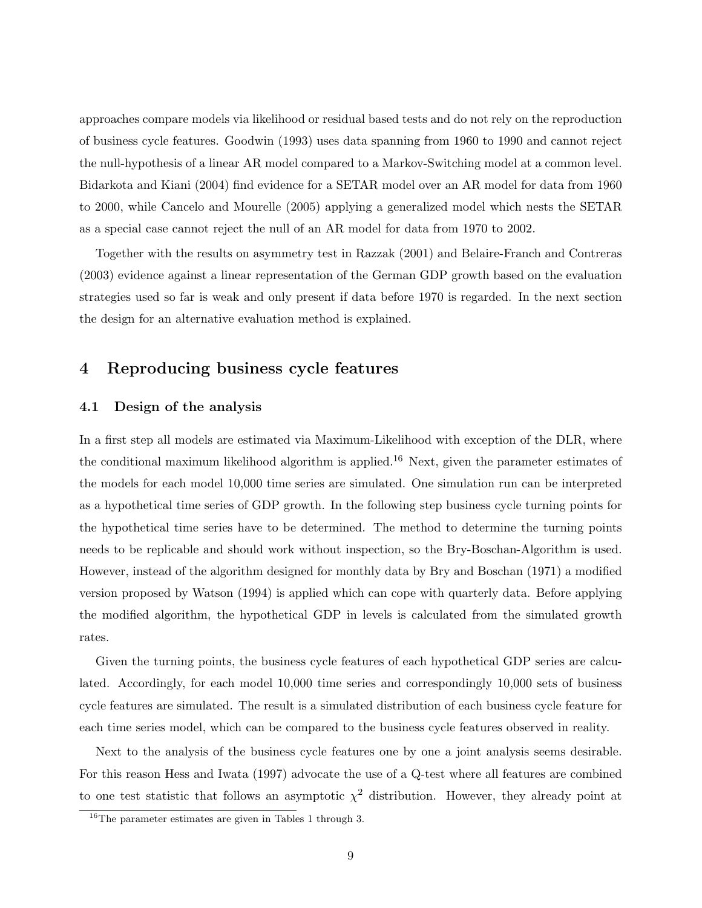approaches compare models via likelihood or residual based tests and do not rely on the reproduction of business cycle features. Goodwin (1993) uses data spanning from 1960 to 1990 and cannot reject the null-hypothesis of a linear AR model compared to a Markov-Switching model at a common level. Bidarkota and Kiani (2004) find evidence for a SETAR model over an AR model for data from 1960 to 2000, while Cancelo and Mourelle (2005) applying a generalized model which nests the SETAR as a special case cannot reject the null of an AR model for data from 1970 to 2002.

Together with the results on asymmetry test in Razzak (2001) and Belaire-Franch and Contreras (2003) evidence against a linear representation of the German GDP growth based on the evaluation strategies used so far is weak and only present if data before 1970 is regarded. In the next section the design for an alternative evaluation method is explained.

# 4 Reproducing business cycle features

## 4.1 Design of the analysis

In a first step all models are estimated via Maximum-Likelihood with exception of the DLR, where the conditional maximum likelihood algorithm is applied.<sup>16</sup> Next, given the parameter estimates of the models for each model 10,000 time series are simulated. One simulation run can be interpreted as a hypothetical time series of GDP growth. In the following step business cycle turning points for the hypothetical time series have to be determined. The method to determine the turning points needs to be replicable and should work without inspection, so the Bry-Boschan-Algorithm is used. However, instead of the algorithm designed for monthly data by Bry and Boschan (1971) a modified version proposed by Watson (1994) is applied which can cope with quarterly data. Before applying the modified algorithm, the hypothetical GDP in levels is calculated from the simulated growth rates.

Given the turning points, the business cycle features of each hypothetical GDP series are calculated. Accordingly, for each model 10,000 time series and correspondingly 10,000 sets of business cycle features are simulated. The result is a simulated distribution of each business cycle feature for each time series model, which can be compared to the business cycle features observed in reality.

Next to the analysis of the business cycle features one by one a joint analysis seems desirable. For this reason Hess and Iwata (1997) advocate the use of a Q-test where all features are combined to one test statistic that follows an asymptotic  $\chi^2$  distribution. However, they already point at

 $^{16}{\rm The}$  parameter estimates are given in Tables 1 through 3.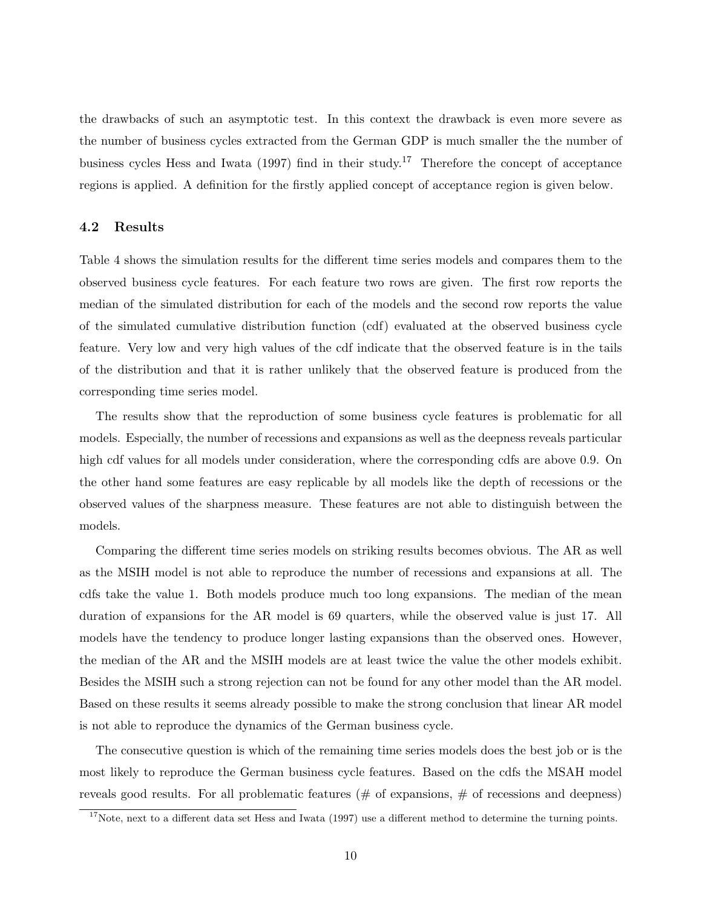the drawbacks of such an asymptotic test. In this context the drawback is even more severe as the number of business cycles extracted from the German GDP is much smaller the the number of business cycles Hess and Iwata (1997) find in their study.<sup>17</sup> Therefore the concept of acceptance regions is applied. A definition for the firstly applied concept of acceptance region is given below.

#### 4.2 Results

Table 4 shows the simulation results for the different time series models and compares them to the observed business cycle features. For each feature two rows are given. The first row reports the median of the simulated distribution for each of the models and the second row reports the value of the simulated cumulative distribution function (cdf) evaluated at the observed business cycle feature. Very low and very high values of the cdf indicate that the observed feature is in the tails of the distribution and that it is rather unlikely that the observed feature is produced from the corresponding time series model.

The results show that the reproduction of some business cycle features is problematic for all models. Especially, the number of recessions and expansions as well as the deepness reveals particular high cdf values for all models under consideration, where the corresponding cdfs are above 0.9. On the other hand some features are easy replicable by all models like the depth of recessions or the observed values of the sharpness measure. These features are not able to distinguish between the models.

Comparing the different time series models on striking results becomes obvious. The AR as well as the MSIH model is not able to reproduce the number of recessions and expansions at all. The cdfs take the value 1. Both models produce much too long expansions. The median of the mean duration of expansions for the AR model is 69 quarters, while the observed value is just 17. All models have the tendency to produce longer lasting expansions than the observed ones. However, the median of the AR and the MSIH models are at least twice the value the other models exhibit. Besides the MSIH such a strong rejection can not be found for any other model than the AR model. Based on these results it seems already possible to make the strong conclusion that linear AR model is not able to reproduce the dynamics of the German business cycle.

The consecutive question is which of the remaining time series models does the best job or is the most likely to reproduce the German business cycle features. Based on the cdfs the MSAH model reveals good results. For all problematic features ( $#$  of expansions,  $#$  of recessions and deepness)

 $\frac{17}{17}$ Note, next to a different data set Hess and Iwata (1997) use a different method to determine the turning points.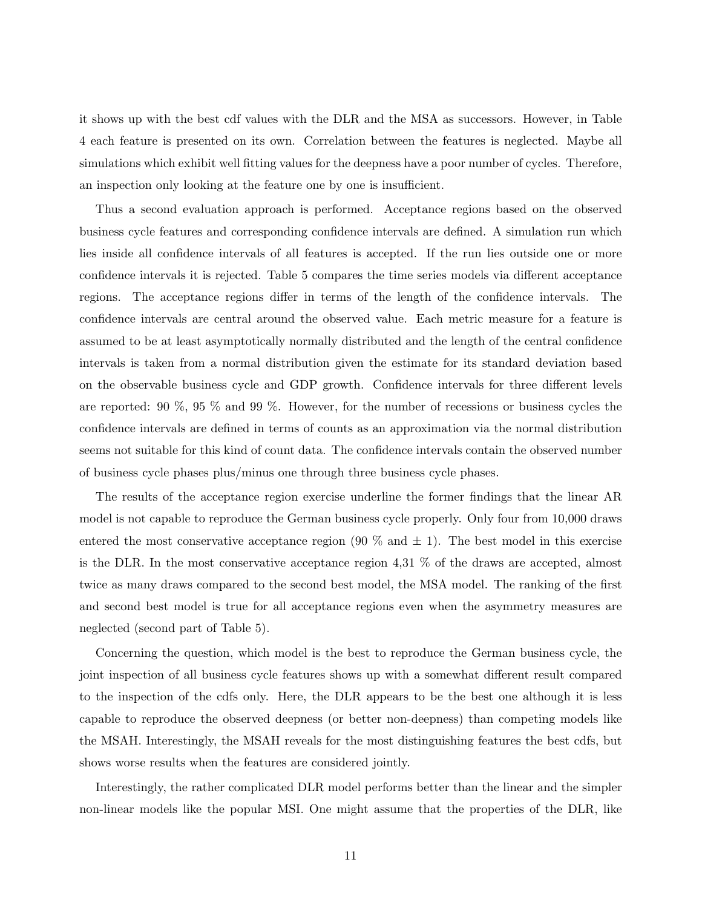it shows up with the best cdf values with the DLR and the MSA as successors. However, in Table 4 each feature is presented on its own. Correlation between the features is neglected. Maybe all simulations which exhibit well fitting values for the deepness have a poor number of cycles. Therefore, an inspection only looking at the feature one by one is insufficient.

Thus a second evaluation approach is performed. Acceptance regions based on the observed business cycle features and corresponding confidence intervals are defined. A simulation run which lies inside all confidence intervals of all features is accepted. If the run lies outside one or more confidence intervals it is rejected. Table 5 compares the time series models via different acceptance regions. The acceptance regions differ in terms of the length of the confidence intervals. The confidence intervals are central around the observed value. Each metric measure for a feature is assumed to be at least asymptotically normally distributed and the length of the central confidence intervals is taken from a normal distribution given the estimate for its standard deviation based on the observable business cycle and GDP growth. Confidence intervals for three different levels are reported: 90 %, 95 % and 99 %. However, for the number of recessions or business cycles the confidence intervals are defined in terms of counts as an approximation via the normal distribution seems not suitable for this kind of count data. The confidence intervals contain the observed number of business cycle phases plus/minus one through three business cycle phases.

The results of the acceptance region exercise underline the former findings that the linear AR model is not capable to reproduce the German business cycle properly. Only four from 10,000 draws entered the most conservative acceptance region  $(90\%$  and  $\pm 1)$ . The best model in this exercise is the DLR. In the most conservative acceptance region 4,31 % of the draws are accepted, almost twice as many draws compared to the second best model, the MSA model. The ranking of the first and second best model is true for all acceptance regions even when the asymmetry measures are neglected (second part of Table 5).

Concerning the question, which model is the best to reproduce the German business cycle, the joint inspection of all business cycle features shows up with a somewhat different result compared to the inspection of the cdfs only. Here, the DLR appears to be the best one although it is less capable to reproduce the observed deepness (or better non-deepness) than competing models like the MSAH. Interestingly, the MSAH reveals for the most distinguishing features the best cdfs, but shows worse results when the features are considered jointly.

Interestingly, the rather complicated DLR model performs better than the linear and the simpler non-linear models like the popular MSI. One might assume that the properties of the DLR, like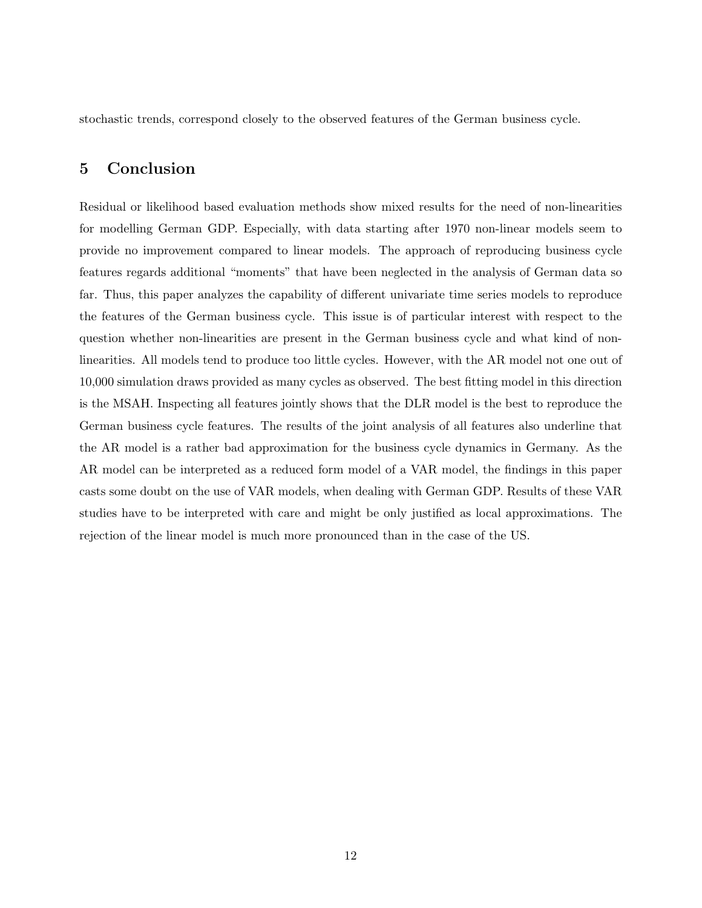stochastic trends, correspond closely to the observed features of the German business cycle.

# 5 Conclusion

Residual or likelihood based evaluation methods show mixed results for the need of non-linearities for modelling German GDP. Especially, with data starting after 1970 non-linear models seem to provide no improvement compared to linear models. The approach of reproducing business cycle features regards additional "moments" that have been neglected in the analysis of German data so far. Thus, this paper analyzes the capability of different univariate time series models to reproduce the features of the German business cycle. This issue is of particular interest with respect to the question whether non-linearities are present in the German business cycle and what kind of nonlinearities. All models tend to produce too little cycles. However, with the AR model not one out of 10,000 simulation draws provided as many cycles as observed. The best fitting model in this direction is the MSAH. Inspecting all features jointly shows that the DLR model is the best to reproduce the German business cycle features. The results of the joint analysis of all features also underline that the AR model is a rather bad approximation for the business cycle dynamics in Germany. As the AR model can be interpreted as a reduced form model of a VAR model, the findings in this paper casts some doubt on the use of VAR models, when dealing with German GDP. Results of these VAR studies have to be interpreted with care and might be only justified as local approximations. The rejection of the linear model is much more pronounced than in the case of the US.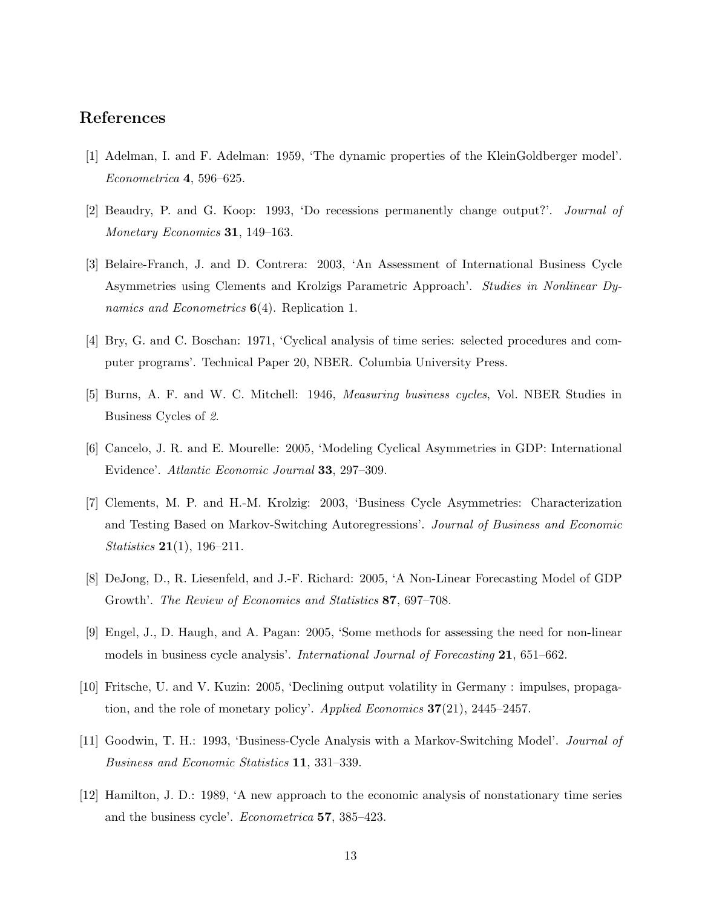## References

- [1] Adelman, I. and F. Adelman: 1959, 'The dynamic properties of the KleinGoldberger model'. Econometrica 4, 596–625.
- [2] Beaudry, P. and G. Koop: 1993, 'Do recessions permanently change output?'. Journal of Monetary Economics 31, 149–163.
- [3] Belaire-Franch, J. and D. Contrera: 2003, 'An Assessment of International Business Cycle Asymmetries using Clements and Krolzigs Parametric Approach'. Studies in Nonlinear Dynamics and Econometrics  $6(4)$ . Replication 1.
- [4] Bry, G. and C. Boschan: 1971, 'Cyclical analysis of time series: selected procedures and computer programs'. Technical Paper 20, NBER. Columbia University Press.
- [5] Burns, A. F. and W. C. Mitchell: 1946, Measuring business cycles, Vol. NBER Studies in Business Cycles of 2.
- [6] Cancelo, J. R. and E. Mourelle: 2005, 'Modeling Cyclical Asymmetries in GDP: International Evidence'. Atlantic Economic Journal 33, 297–309.
- [7] Clements, M. P. and H.-M. Krolzig: 2003, 'Business Cycle Asymmetries: Characterization and Testing Based on Markov-Switching Autoregressions'. Journal of Business and Economic *Statistics* **21**(1), 196–211.
- [8] DeJong, D., R. Liesenfeld, and J.-F. Richard: 2005, 'A Non-Linear Forecasting Model of GDP Growth'. The Review of Economics and Statistics 87, 697–708.
- [9] Engel, J., D. Haugh, and A. Pagan: 2005, 'Some methods for assessing the need for non-linear models in business cycle analysis'. *International Journal of Forecasting* 21, 651–662.
- [10] Fritsche, U. and V. Kuzin: 2005, 'Declining output volatility in Germany : impulses, propagation, and the role of monetary policy'. Applied Economics  $37(21)$ , 2445–2457.
- [11] Goodwin, T. H.: 1993, 'Business-Cycle Analysis with a Markov-Switching Model'. Journal of Business and Economic Statistics 11, 331–339.
- [12] Hamilton, J. D.: 1989, 'A new approach to the economic analysis of nonstationary time series and the business cycle'. Econometrica 57, 385–423.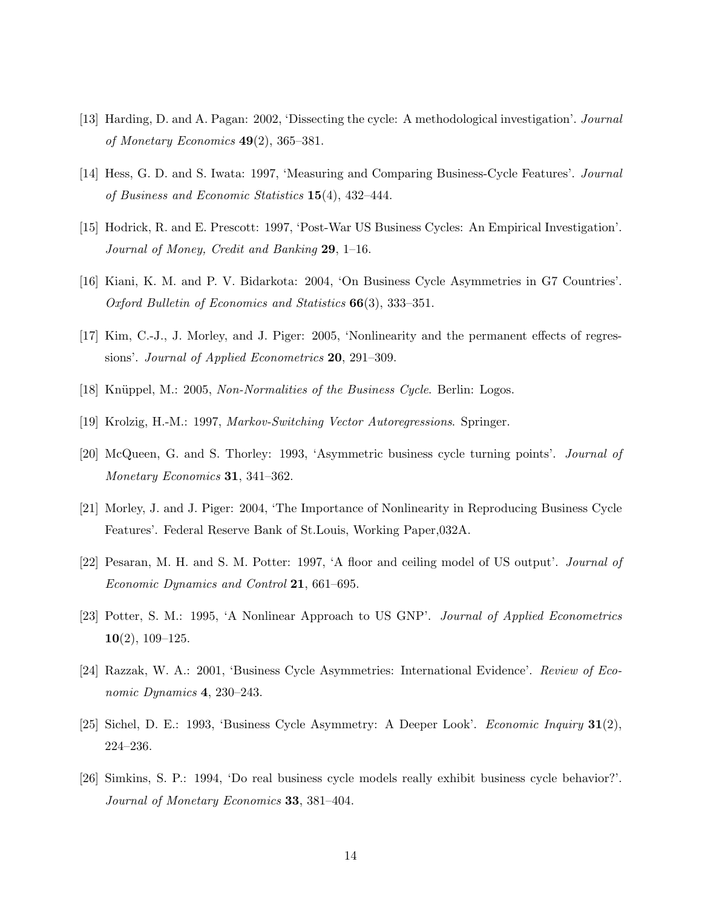- [13] Harding, D. and A. Pagan: 2002, 'Dissecting the cycle: A methodological investigation'. Journal of Monetary Economics  $49(2)$ , 365–381.
- [14] Hess, G. D. and S. Iwata: 1997, 'Measuring and Comparing Business-Cycle Features'. Journal of Business and Economic Statistics  $15(4)$ , 432-444.
- [15] Hodrick, R. and E. Prescott: 1997, 'Post-War US Business Cycles: An Empirical Investigation'. Journal of Money, Credit and Banking 29, 1–16.
- [16] Kiani, K. M. and P. V. Bidarkota: 2004, 'On Business Cycle Asymmetries in G7 Countries'. Oxford Bulletin of Economics and Statistics 66(3), 333–351.
- [17] Kim, C.-J., J. Morley, and J. Piger: 2005, 'Nonlinearity and the permanent effects of regressions'. Journal of Applied Econometrics 20, 291-309.
- [18] Knüppel, M.: 2005, Non-Normalities of the Business Cycle. Berlin: Logos.
- [19] Krolzig, H.-M.: 1997, Markov-Switching Vector Autoregressions. Springer.
- [20] McQueen, G. and S. Thorley: 1993, 'Asymmetric business cycle turning points'. Journal of Monetary Economics 31, 341–362.
- [21] Morley, J. and J. Piger: 2004, 'The Importance of Nonlinearity in Reproducing Business Cycle Features'. Federal Reserve Bank of St.Louis, Working Paper,032A.
- [22] Pesaran, M. H. and S. M. Potter: 1997, 'A floor and ceiling model of US output'. Journal of Economic Dynamics and Control 21, 661–695.
- [23] Potter, S. M.: 1995, 'A Nonlinear Approach to US GNP'. Journal of Applied Econometrics  $10(2)$ , 109–125.
- [24] Razzak, W. A.: 2001, 'Business Cycle Asymmetries: International Evidence'. Review of Economic Dynamics 4, 230–243.
- [25] Sichel, D. E.: 1993, 'Business Cycle Asymmetry: A Deeper Look'. Economic Inquiry 31(2), 224–236.
- [26] Simkins, S. P.: 1994, 'Do real business cycle models really exhibit business cycle behavior?'. Journal of Monetary Economics 33, 381–404.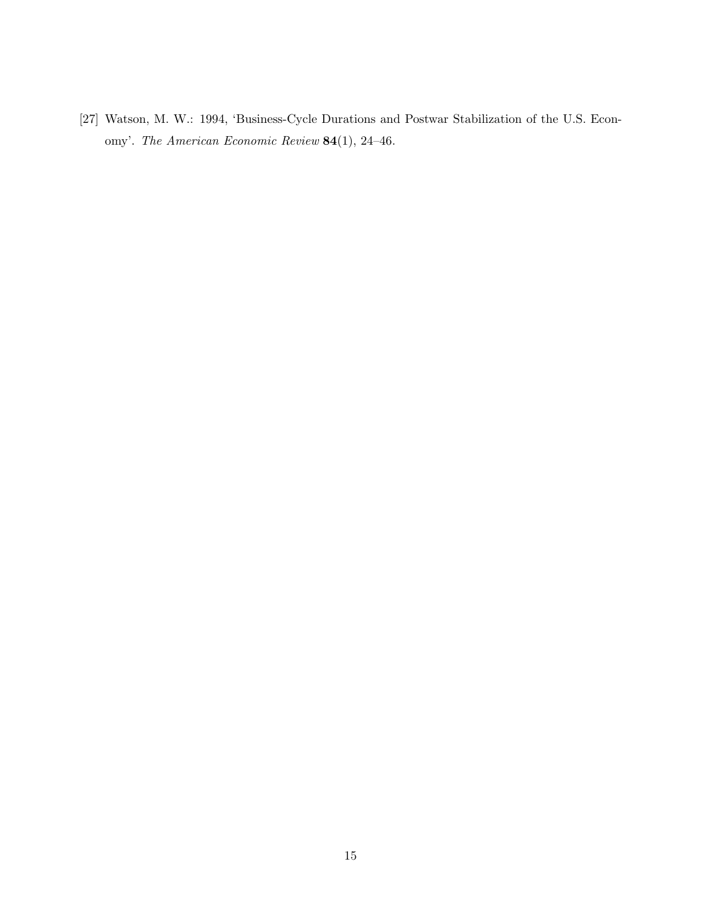[27] Watson, M. W.: 1994, 'Business-Cycle Durations and Postwar Stabilization of the U.S. Economy'. The American Economic Review 84(1), 24–46.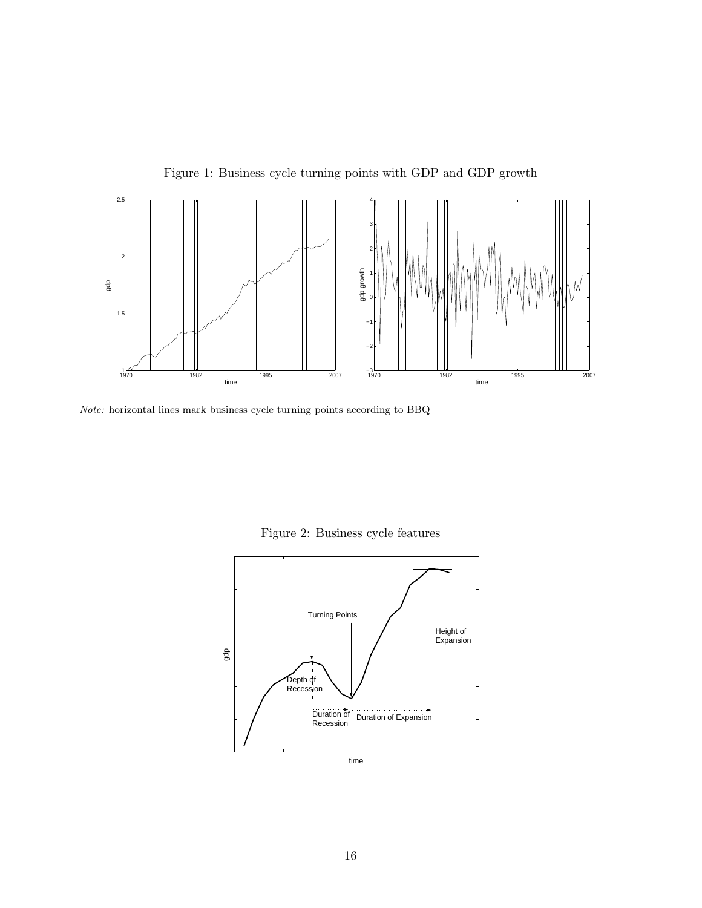

Figure 1: Business cycle turning points with GDP and GDP growth

Note: horizontal lines mark business cycle turning points according to BBQ

Figure 2: Business cycle features

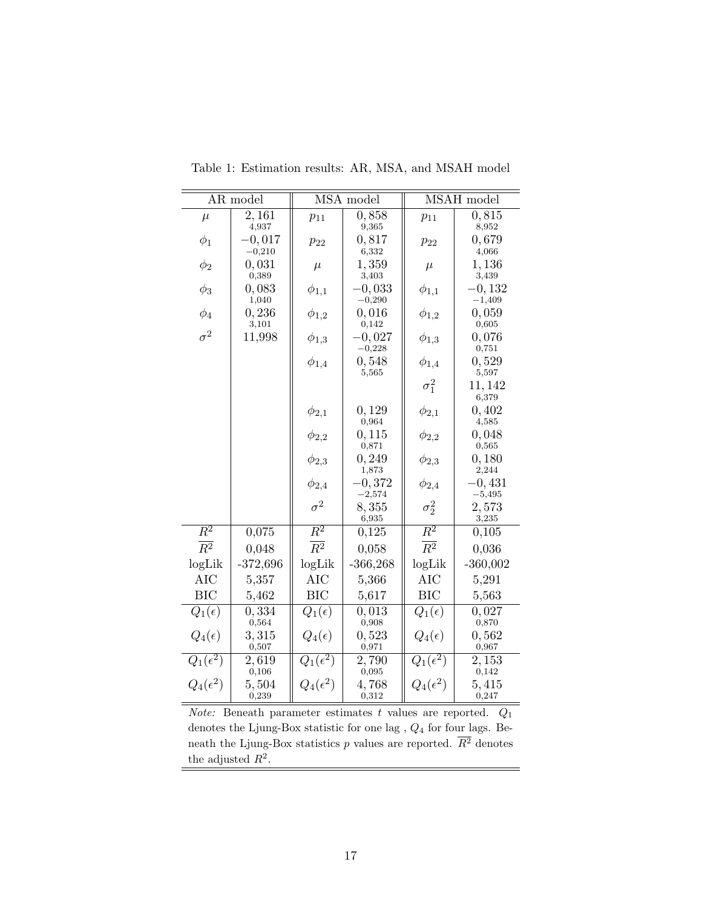|                              | AR model             |                   | MSA model            |                   | MSAH model           |
|------------------------------|----------------------|-------------------|----------------------|-------------------|----------------------|
| $\mu$                        | 2,161<br>4,937       | $p_{11}$          | 0,858<br>9,365       | $p_{11}$          | 0,815<br>8,952       |
| $\phi_1$                     | $-0,017$<br>$-0,210$ | $p_{22}$          | 0,817<br>6,332       | $p_{22}$          | 0,679<br>4,066       |
| $\phi_2$                     | 0,031                | $\mu$             | 1,359                | $\mu$             | 1,136                |
| $\phi_3$                     | 0,389<br>0,083       | $\phi_{1,1}$      | 3,403<br>$-0,033$    | $\phi_{1,1}$      | 3,439<br>$-0,132$    |
| $\phi_4$                     | 1,040<br>0,236       | $\phi_{1,2}$      | $-0,290$<br>0,016    | $\phi_{1,2}$      | $-1,409$<br>0,059    |
| $\sigma^2$                   | 3,101<br>11,998      |                   | 0,142<br>$-0,027$    |                   | 0,605<br>0,076       |
|                              |                      | $\phi_{1,3}$      | $-0,228$             | $\phi_{1,3}$      | 0,751                |
|                              |                      | $\phi_{1,4}$      | 0,548<br>5,565       | $\phi_{1,4}$      | 0,529<br>5,597       |
|                              |                      |                   |                      | $\sigma_1^2$      | 11, 142<br>6,379     |
|                              |                      | $\phi_{2,1}$      | 0,129<br>0,964       | $\phi_{2,1}$      | 0,402<br>4,585       |
|                              |                      | $\phi_{2,2}$      | 0, 115<br>0,871      | $\phi_{2,2}$      | 0,048<br>0,565       |
|                              |                      | $\phi_{2,3}$      | 0, 249<br>1,873      | $\phi_{2,3}$      | 0,180<br>2,244       |
|                              |                      | $\phi_{2,4}$      | $-0,372$<br>$-2,574$ | $\phi_{2,4}$      | $-0,431$<br>$-5,495$ |
|                              |                      | $\sigma^2$        | 8,355<br>6,935       | $\sigma_2^2$      | 2,573<br>3,235       |
| $\overline{R^2}$             | 0,075                | $\overline{R^2}$  | 0,125                | $\overline{R^2}$  | 0,105                |
| $\overline{R^2}$             | 0,048                | $\overline{R^2}$  | 0,058                | $\overline{R^2}$  | 0,036                |
| logLik                       | $-372,696$           | logLik            | $-366,268$           | logLik            | $-360,002$           |
| <b>AIC</b>                   | 5,357                | <b>AIC</b>        | 5,366                | <b>AIC</b>        | 5,291                |
| <b>BIC</b>                   | 5,462                | <b>BIC</b>        | 5,617                | <b>BIC</b>        | 5,563                |
| $Q_1(\epsilon)$              | 0,334<br>0,564       | $Q_1(\epsilon)$   | 0,013<br>0,908       | $Q_1(\epsilon)$   | 0,027<br>0,870       |
| $Q_4(\epsilon)$              | 3,315<br>0,507       | $Q_4(\epsilon)$   | 0,523<br>0,971       | $Q_4(\epsilon)$   | 0,562<br>0,967       |
| $\overline{Q_1(\epsilon^2)}$ | 2,619<br>0,106       | $Q_1(\epsilon^2)$ | 2,790<br>0,095       | $Q_1(\epsilon^2)$ | 2,153<br>$\rm 0,142$ |
| $Q_4(\epsilon^2)$            | 5,504<br>0,239       | $Q_4(\epsilon^2)$ | 4,768<br>0,312       | $Q_4(\epsilon^2)$ | 5,415<br>0,247       |

Table 1: Estimation results: AR, MSA, and MSAH model

Note: Beneath parameter estimates  $t$  values are reported.  $Q_1$ denotes the Ljung-Box statistic for one lag ,  $Q_4$  for four lags. Beneath the Ljung-Box statistics p values are reported.  $\overline{R^2}$  denotes the adjusted  $R^2$ .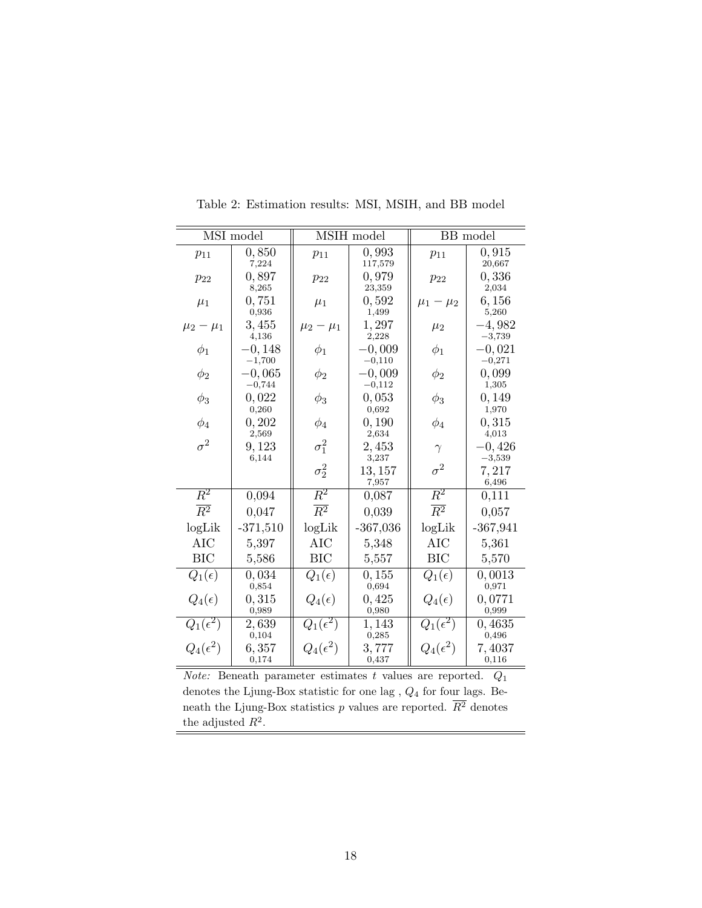|                   | MSI model            |                   | MSIH model           |                              | BB model             |
|-------------------|----------------------|-------------------|----------------------|------------------------------|----------------------|
| $p_{11}$          | 0,850<br>7,224       | $p_{11}$          | 0,993<br>117,579     | $p_{11}$                     | 0,915<br>20,667      |
| $p_{22}$          | 0,897<br>8,265       | $p_{22}$          | 0,979<br>23,359      | $p_{22}$                     | 0,336<br>2,034       |
| $\mu_1$           | 0,751<br>0,936       | $\mu_1$           | 0,592<br>1,499       | $\mu_1 - \mu_2$              | 6,156<br>5,260       |
| $\mu_2 - \mu_1$   | 3,455<br>4,136       | $\mu_2 - \mu_1$   | 1,297<br>2,228       | $\mu_2$                      | $-4,982$<br>$-3,739$ |
| $\phi_1$          | $-0,148$<br>$-1,700$ | $\phi_1$          | $-0,009$<br>$-0,110$ | $\phi_1$                     | $-0,021$<br>$-0,271$ |
| $\phi_2$          | $-0,065$<br>$-0,744$ | $\phi_2$          | $-0,009$<br>$-0,112$ | $\phi_2$                     | 0,099<br>1,305       |
| $\phi_3$          | 0,022<br>0,260       | $\phi_3$          | 0,053<br>0,692       | $\phi_3$                     | 0,149<br>1,970       |
| $\phi_4$          | 0, 202<br>2,569      | $\phi_4$          | 0,190<br>2,634       | $\phi_4$                     | 0,315<br>4,013       |
| $\sigma^2$        | 9,123<br>6,144       | $\sigma_1^2$      | 2,453<br>3,237       | $\gamma$                     | $-0,426$<br>$-3,539$ |
|                   |                      | $\sigma_2^2$      | 13, 157<br>7,957     | $\sigma^2$                   | 7,217<br>6,496       |
| $\overline{R^2}$  | 0,094                | $\overline{R^2}$  | 0,087                | $\overline{R^2}$             | 0,111                |
| $\overline{R^2}$  | 0,047                | $\overline{R^2}$  | 0,039                | $\overline{R^2}$             | 0,057                |
| logLik            | $-371,510$           | logLik            | $-367,036$           | logLik                       | $-367,941$           |
| <b>AIC</b>        | 5,397                | <b>AIC</b>        | 5,348                | <b>AIC</b>                   | 5,361                |
| <b>BIC</b>        | 5,586                | <b>BIC</b>        | 5,557                | <b>BIC</b>                   | 5,570                |
| $Q_1(\epsilon)$   | 0,034<br>0,854       | $Q_1(\epsilon)$   | 0, 155<br>0,694      | $Q_1(\epsilon)$              | 0,0013<br>0,971      |
| $Q_4(\epsilon)$   | 0,315<br>0,989       | $Q_4(\epsilon)$   | 0,425<br>0,980       | $Q_4(\epsilon)$              | 0,0771<br>0,999      |
| $Q_1(\epsilon^2)$ | 2,639<br>0,104       | $Q_1(\epsilon^2)$ | 1,143<br>0,285       | $Q_1(\overline{\epsilon^2})$ | 0,4635<br>0,496      |
| $Q_4(\epsilon^2)$ | 6,357<br>0,174       | $Q_4(\epsilon^2)$ | 3,777<br>0,437       | $Q_4(\epsilon^2)$            | 7,4037<br>0,116      |

Table 2: Estimation results: MSI, MSIH, and BB model

*Note:* Beneath parameter estimates  $t$  values are reported.  $Q_1$ denotes the Ljung-Box statistic for one lag ,  $Q_4$  for four lags. Beneath the Ljung-Box statistics p values are reported.  $\overline{R^2}$  denotes the adjusted  $R^2$ .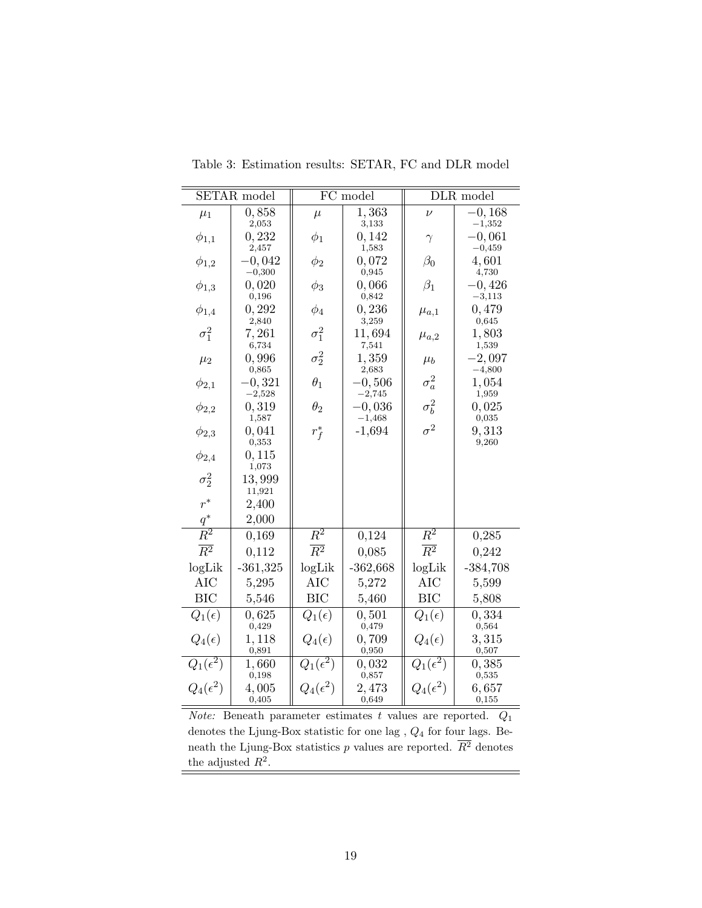|                   | SETAR model                   |                   | FC model                |                              | DLR model            |
|-------------------|-------------------------------|-------------------|-------------------------|------------------------------|----------------------|
| $\mu_1$           | 0,858<br>2,053                | $\mu$             | 1,363<br>3,133          | $\nu$                        | $-0,168$<br>$-1,352$ |
| $\phi_{1,1}$      | 0,232                         | $\phi_1$          | 0,142                   | $\gamma$                     | $-0,061$<br>$-0,459$ |
| $\phi_{1,2}$      | 2,457<br>$-0,042$<br>$-0,300$ | $\phi_2$          | 1,583<br>0,072<br>0,945 | $\beta_0$                    | 4,601<br>4,730       |
| $\phi_{1,3}$      | 0,020<br>0,196                | $\phi_3$          | 0,066<br>0,842          | $\beta_1$                    | $-0,426$<br>$-3,113$ |
| $\phi_{1,4}$      | 0,292<br>2,840                | $\phi_4$          | 0,236<br>3,259          | $\mu_{a,1}$                  | 0,479<br>0,645       |
| $\sigma_1^2$      | 7,261<br>6,734                | $\sigma_1^2$      | 11,694<br>7,541         | $\mu_{a,2}$                  | 1,803<br>1,539       |
| $\mu_2$           | 0,996<br>0,865                | $\sigma_2^2$      | 1,359<br>2,683          | $\mu_b$                      | $-2,097$<br>$-4,800$ |
| $\phi_{2,1}$      | $-0,321$<br>$-2,528$          | $\theta_1$        | $-0,506$<br>$-2,745$    | $\sigma_a^2$                 | 1,054<br>1,959       |
| $\phi_{2,2}$      | 0, 319<br>1,587               | $\theta_2$        | $-0,036$<br>$-1,468$    | $\sigma_b^2$                 | 0,025<br>0,035       |
| $\phi_{2,3}$      | 0,041<br>0,353                | $r_f^*$           | $-1,694$                | $\sigma^2$                   | 9,313<br>9,260       |
| $\phi_{2,4}$      | 0, 115<br>1,073               |                   |                         |                              |                      |
| $\sigma_2^2$      | 13,999<br>11,921              |                   |                         |                              |                      |
| $r^*$             | 2,400                         |                   |                         |                              |                      |
| $\frac{q^*}{R^2}$ | 2,000                         |                   |                         |                              |                      |
|                   | 0,169                         | $\overline{R^2}$  | 0,124                   | $\overline{R^2}$             | 0,285                |
| $\overline{R^2}$  | 0,112                         | $\overline{R^2}$  | 0,085                   | $\overline{R^2}$             | 0,242                |
| logLik            | $-361,325$                    | logLik            | $-362,668$              | logLik                       | $-384,708$           |
| AIC               | 5,295                         | <b>AIC</b>        | 5,272                   | <b>AIC</b>                   | 5,599                |
| <b>BIC</b>        | 5,546                         | <b>BIC</b>        | 5,460                   | <b>BIC</b>                   | 5,808                |
| $Q_1(\epsilon)$   | 0,625<br>0,429                | $Q_1(\epsilon)$   | 0, 501<br>0,479         | $Q_1(\epsilon)$              | 0,334<br>0,564       |
| $Q_4(\epsilon)$   | 1,118<br>0,891                | $Q_4(\epsilon)$   | 0,709<br>0,950          | $Q_4(\epsilon)$              | 3,315<br>0,507       |
| $Q_1(\epsilon^2)$ | 1,660<br>0,198                | $Q_1(\epsilon^2)$ | 0,032<br>0,857          | $\overline{Q_1(\epsilon^2)}$ | 0,385<br>0,535       |
| $Q_4(\epsilon^2)$ | 4,005<br>0,405                | $Q_4(\epsilon^2)$ | 2,473<br>0,649          | $Q_4(\epsilon^2)$            | 6,657<br>0,155       |

Table 3: Estimation results: SETAR, FC and DLR model

 $\emph{Note:}$  Beneath parameter estimates  $t$  values are reported.  $\emph{Q}_{1}$ denotes the Ljung-Box statistic for one lag ,  $Q_4$  for four lags. Beneath the Ljung-Box statistics p values are reported.  $R^2$  denotes the adjusted  $R^2$ .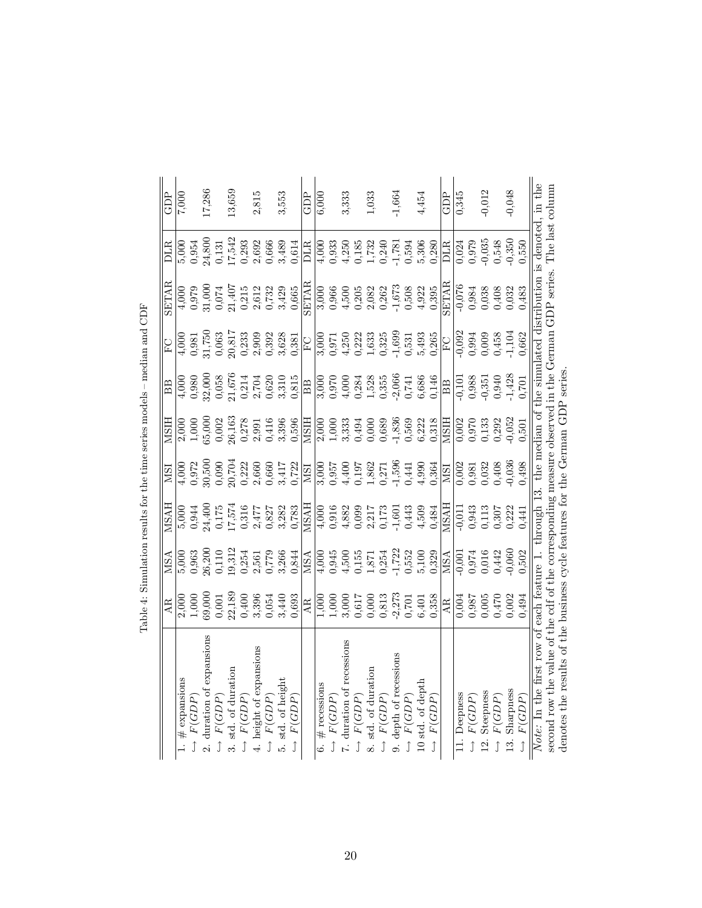|                                                                                                                   | AR.                                                                                                                       | MSA                                                                                                                   | HASN                                                                                                                                                                                                                                                                                                                                                                                                        | <b>NSI</b>                                                                                                                                                                                                                                                                                                                      | <b>MSIH</b>                                                                                                                                                                                                                                                                                           | BB                                                                                                                                                                                                                                                                                                   | EC                                                                                                                                                                                                                                                                    | <b>SETAR</b>                                                                                                                                                                                                                                                          | DLR                                                                                                                                                                                                                                                                                             | GDP      |
|-------------------------------------------------------------------------------------------------------------------|---------------------------------------------------------------------------------------------------------------------------|-----------------------------------------------------------------------------------------------------------------------|-------------------------------------------------------------------------------------------------------------------------------------------------------------------------------------------------------------------------------------------------------------------------------------------------------------------------------------------------------------------------------------------------------------|---------------------------------------------------------------------------------------------------------------------------------------------------------------------------------------------------------------------------------------------------------------------------------------------------------------------------------|-------------------------------------------------------------------------------------------------------------------------------------------------------------------------------------------------------------------------------------------------------------------------------------------------------|------------------------------------------------------------------------------------------------------------------------------------------------------------------------------------------------------------------------------------------------------------------------------------------------------|-----------------------------------------------------------------------------------------------------------------------------------------------------------------------------------------------------------------------------------------------------------------------|-----------------------------------------------------------------------------------------------------------------------------------------------------------------------------------------------------------------------------------------------------------------------|-------------------------------------------------------------------------------------------------------------------------------------------------------------------------------------------------------------------------------------------------------------------------------------------------|----------|
| $#$ expansions                                                                                                    |                                                                                                                           |                                                                                                                       |                                                                                                                                                                                                                                                                                                                                                                                                             |                                                                                                                                                                                                                                                                                                                                 |                                                                                                                                                                                                                                                                                                       |                                                                                                                                                                                                                                                                                                      |                                                                                                                                                                                                                                                                       |                                                                                                                                                                                                                                                                       |                                                                                                                                                                                                                                                                                                 | 7,000    |
| F(GDP                                                                                                             | $\begin{array}{l} 2,000 \\ 1,000 \\ 69,000 \\ 0,001 \\ 2,189 \\ 0,400 \\ 0,536 \\ 0,633 \\ 0,633 \\ 0,633 \\ \end{array}$ |                                                                                                                       | $\begin{array}{l} 5,000\\0,944\\0,175\\0,175\\17,574\\0,316\\0,316\\0,328\\0,827\\0,783\\0,783 \end{array}$                                                                                                                                                                                                                                                                                                 | $\begin{array}{l} (4,000) \\ (3,72) \\ (5,800) \\ (6,900) \\ (7,22) \\ (8,600) \\ (9,72) \\ (1,72) \\ (1,72) \\ (1,72) \\ (1,72) \\ (1,72) \\ (1,72) \\ (1,72) \\ (1,72) \\ (1,72) \\ (1,72) \\ (1,72) \\ (1,72) \\ (1,72) \\ (1,72) \\ (1,72) \\ (1,72) \\ (1,72) \\ (1,72) \\ (1,72) \\ (1,72) \\ (1,72) \\ (1,72) \\ (1,72)$ | $\begin{array}{l} 2,000 \\ 1,000 \\ 65,000 \\ 0,002 \\ 2,61 \\ 0,27 \\ 0,31 \\ 0,416 \\ 0,339 \\ 0,596 \\ 0,596 \\ \end{array}$                                                                                                                                                                       | $\begin{array}{l} (4.000 \\ 4.000 \\ 0.980 \\ 0.058 \\ 0.058 \\ 0.000 \\ 0.01 \\ 0.01 \\ 0.01 \\ 0.000 \\ 0.000 \\ 0.000 \\ 0.000 \\ 0.000 \\ 0.000 \\ 0.000 \\ 0.000 \\ 0.000 \\ 0.000 \\ 0.000 \\ 0.000 \\ 0.000 \\ 0.000 \\ 0.000 \\ 0.000 \\ 0.000 \\ 0.000 \\ 0.000 \\ 0.000 \\ 0.000 \\ 0.000$ |                                                                                                                                                                                                                                                                       |                                                                                                                                                                                                                                                                       | $\begin{array}{c} 5,000 \\ 0,954 \\ 24,800 \\ 0,131 \\ 17,542 \\ 0,293 \end{array}$                                                                                                                                                                                                             |          |
| expansions<br>2. duration of                                                                                      |                                                                                                                           |                                                                                                                       |                                                                                                                                                                                                                                                                                                                                                                                                             |                                                                                                                                                                                                                                                                                                                                 |                                                                                                                                                                                                                                                                                                       |                                                                                                                                                                                                                                                                                                      |                                                                                                                                                                                                                                                                       |                                                                                                                                                                                                                                                                       |                                                                                                                                                                                                                                                                                                 | 17,286   |
| F(GDP                                                                                                             |                                                                                                                           |                                                                                                                       |                                                                                                                                                                                                                                                                                                                                                                                                             |                                                                                                                                                                                                                                                                                                                                 |                                                                                                                                                                                                                                                                                                       |                                                                                                                                                                                                                                                                                                      |                                                                                                                                                                                                                                                                       |                                                                                                                                                                                                                                                                       |                                                                                                                                                                                                                                                                                                 |          |
| 3. std. of duration                                                                                               |                                                                                                                           |                                                                                                                       |                                                                                                                                                                                                                                                                                                                                                                                                             |                                                                                                                                                                                                                                                                                                                                 |                                                                                                                                                                                                                                                                                                       |                                                                                                                                                                                                                                                                                                      |                                                                                                                                                                                                                                                                       |                                                                                                                                                                                                                                                                       |                                                                                                                                                                                                                                                                                                 | 13,659   |
| F(GDP)<br>Ĵ                                                                                                       |                                                                                                                           |                                                                                                                       |                                                                                                                                                                                                                                                                                                                                                                                                             |                                                                                                                                                                                                                                                                                                                                 |                                                                                                                                                                                                                                                                                                       |                                                                                                                                                                                                                                                                                                      |                                                                                                                                                                                                                                                                       |                                                                                                                                                                                                                                                                       |                                                                                                                                                                                                                                                                                                 |          |
| 4. height of expansions                                                                                           |                                                                                                                           |                                                                                                                       |                                                                                                                                                                                                                                                                                                                                                                                                             |                                                                                                                                                                                                                                                                                                                                 |                                                                                                                                                                                                                                                                                                       |                                                                                                                                                                                                                                                                                                      |                                                                                                                                                                                                                                                                       |                                                                                                                                                                                                                                                                       |                                                                                                                                                                                                                                                                                                 | 2,815    |
| F(GDP)                                                                                                            |                                                                                                                           |                                                                                                                       |                                                                                                                                                                                                                                                                                                                                                                                                             |                                                                                                                                                                                                                                                                                                                                 |                                                                                                                                                                                                                                                                                                       |                                                                                                                                                                                                                                                                                                      |                                                                                                                                                                                                                                                                       |                                                                                                                                                                                                                                                                       |                                                                                                                                                                                                                                                                                                 |          |
| 5. std. of height                                                                                                 |                                                                                                                           |                                                                                                                       |                                                                                                                                                                                                                                                                                                                                                                                                             |                                                                                                                                                                                                                                                                                                                                 |                                                                                                                                                                                                                                                                                                       |                                                                                                                                                                                                                                                                                                      |                                                                                                                                                                                                                                                                       |                                                                                                                                                                                                                                                                       |                                                                                                                                                                                                                                                                                                 | 3,553    |
| F(GDP)<br>$\begin{array}{c}\n\uparrow\n\end{array}$                                                               |                                                                                                                           | $\begin{array}{l} 5,000\\ 0,963\\ 0,300\\ 0,110\\ 0,312\\ 0,254\\ 0,779\\ 0,844\\ 0,844\\ 0,844\\ \hline \end{array}$ |                                                                                                                                                                                                                                                                                                                                                                                                             |                                                                                                                                                                                                                                                                                                                                 |                                                                                                                                                                                                                                                                                                       |                                                                                                                                                                                                                                                                                                      | $\begin{array}{l} 1000\\ 4,981\\ 0,981\\ 31,750\\ 0,081\\ 7,750\\ 0,817\\ 0,817\\ 0,839\\ 0,839\\ 0,828\\ 0,81\\ 0,81\\ 0,100\\ 0,100\\ 0,100\\ 0,100\\ 0,100\\ 0,100\\ 0,100\\ 0,100\\ 0,100\\ 0,100\\ 0,100\\ 0,100\\ 0,100\\ 0,100\\ 0,100\\ 0,100\\ 0,100\\ 0,10$ |                                                                                                                                                                                                                                                                       | $\begin{array}{c} 2,692 \\ 0,666 \\ 3,489 \\ \hline 0,614 \\ \hline \text{DLR} \end{array}$                                                                                                                                                                                                     |          |
|                                                                                                                   | AR.                                                                                                                       |                                                                                                                       |                                                                                                                                                                                                                                                                                                                                                                                                             | <b>ISI</b>                                                                                                                                                                                                                                                                                                                      | <b>HISIN</b>                                                                                                                                                                                                                                                                                          | <b>BB</b>                                                                                                                                                                                                                                                                                            |                                                                                                                                                                                                                                                                       | <b>SETAR</b>                                                                                                                                                                                                                                                          |                                                                                                                                                                                                                                                                                                 | GDP      |
| # recessions<br>Ġ                                                                                                 |                                                                                                                           |                                                                                                                       |                                                                                                                                                                                                                                                                                                                                                                                                             |                                                                                                                                                                                                                                                                                                                                 |                                                                                                                                                                                                                                                                                                       |                                                                                                                                                                                                                                                                                                      |                                                                                                                                                                                                                                                                       |                                                                                                                                                                                                                                                                       |                                                                                                                                                                                                                                                                                                 | 6,000    |
| F(GDP)<br>ĵ                                                                                                       |                                                                                                                           |                                                                                                                       |                                                                                                                                                                                                                                                                                                                                                                                                             |                                                                                                                                                                                                                                                                                                                                 |                                                                                                                                                                                                                                                                                                       |                                                                                                                                                                                                                                                                                                      |                                                                                                                                                                                                                                                                       |                                                                                                                                                                                                                                                                       |                                                                                                                                                                                                                                                                                                 |          |
| 7. duration of recessions                                                                                         |                                                                                                                           |                                                                                                                       |                                                                                                                                                                                                                                                                                                                                                                                                             |                                                                                                                                                                                                                                                                                                                                 |                                                                                                                                                                                                                                                                                                       |                                                                                                                                                                                                                                                                                                      |                                                                                                                                                                                                                                                                       |                                                                                                                                                                                                                                                                       |                                                                                                                                                                                                                                                                                                 | 3,333    |
| F(GDP)                                                                                                            |                                                                                                                           |                                                                                                                       |                                                                                                                                                                                                                                                                                                                                                                                                             |                                                                                                                                                                                                                                                                                                                                 |                                                                                                                                                                                                                                                                                                       |                                                                                                                                                                                                                                                                                                      |                                                                                                                                                                                                                                                                       |                                                                                                                                                                                                                                                                       |                                                                                                                                                                                                                                                                                                 |          |
| 8. std. of duration                                                                                               | $\begin{array}{l} 1,000\\1,000\\1,000\\0,617\\0,617\\0,813\\0,7273\\0,701\\0,701\\0,6401\\0,358\\0,358 \end{array}$       |                                                                                                                       | $\begin{array}{r} \underline{\text{MSAH}} \\ \underline{\text{MSAM}} \\ \underline{\text{4,000}} \\ \text{0,916} \\ \text{0,903} \\ \text{0,909} \\ \text{0,917} \\ \text{0,173} \\ \text{0,173} \\ \text{0,173} \\ \text{0,173} \\ \text{0,173} \\ \text{0,174} \\ \text{0,173} \\ \text{0,174} \\ \text{0,173} \\ \text{0,174} \\ \text{0,175} \\ \text{0,176} \\ \text{0,178} \\ \text{0,178} \\ \text{$ | 3,000<br>0,957<br>0,1900<br>4,5862<br>1,596<br>0,44<br>0,44                                                                                                                                                                                                                                                                     | $\begin{array}{l} 2,000 \\ 1,000 \\ 1,000 \\ 3,33 \\ 4,400 \\ 6,68 \\ 7,836 \\ 8,60 \\ 9,72 \\ 1,834 \\ 6,221 \\ 6,318 \\ 6,318 \\ 6,318 \\ 6,318 \\ 6,318 \\ 6,318 \\ 6,318 \\ 6,318 \\ 6,318 \\ 6,318 \\ 6,318 \\ 6,321 \\ 6,332 \\ 6,333 \\ 6,334 \\ 6,334 \\ 6,335 \\ 6,335 \\ 6,336 \\ 6,336 \\$ | $\begin{array}{l} 3,000\\ 0,970\\ 0,4,000\\ 1,528\\ 0,355\\ 0,741\\ 0,3356\\ 0,686\\ 6,686 \end{array}$                                                                                                                                                                                              | $\begin{array}{l} 3,000 \\ 0,971 \\ 0,425 \\ 0,333 \\ 0,354 \\ 0,324 \\ 0,435 \\ 0,531 \\ 0,425 \\ \hline \end{array}$                                                                                                                                                | $\begin{array}{r} 0000\\ 0.966\\ 0.967\\ 0.968\\ 0.908\\ 0.908\\ 0.908\\ 0.908\\ 0.908\\ 0.908\\ 0.908\\ 0.902\\ 0.902\\ 0.902\\ 0.902\\ 0.902\\ 0.902\\ 0.902\\ 0.902\\ 0.902\\ 0.902\\ 0.902\\ 0.903\\ 0.903\\ 0.903\\ 0.903\\ 0.903\\ 0.903\\ 0.903\\ 0.903\\ 0.9$ | $\begin{array}{c} 1000 \\ 40033 \\ 0.9350 \\ 0.405 \\ 0.732 \\ 0.132 \\ 0.132 \\ 0.132 \\ 0.132 \\ 0.132 \\ 0.132 \\ 0.1332 \\ 0.1332 \\ 0.1332 \\ 0.1332 \\ 0.1332 \\ 0.1332 \\ 0.1332 \\ 0.1332 \\ 0.1332 \\ 0.1332 \\ 0.1332 \\ 0.1332 \\ 0.1332 \\ 0.1332 \\ 0.1332 \\ 0.1332 \\ 0.1332 \\$ | 1,033    |
| F(GDP)                                                                                                            |                                                                                                                           |                                                                                                                       |                                                                                                                                                                                                                                                                                                                                                                                                             |                                                                                                                                                                                                                                                                                                                                 |                                                                                                                                                                                                                                                                                                       |                                                                                                                                                                                                                                                                                                      |                                                                                                                                                                                                                                                                       |                                                                                                                                                                                                                                                                       |                                                                                                                                                                                                                                                                                                 |          |
| 9. depth of recessions                                                                                            |                                                                                                                           |                                                                                                                       |                                                                                                                                                                                                                                                                                                                                                                                                             |                                                                                                                                                                                                                                                                                                                                 |                                                                                                                                                                                                                                                                                                       |                                                                                                                                                                                                                                                                                                      |                                                                                                                                                                                                                                                                       |                                                                                                                                                                                                                                                                       |                                                                                                                                                                                                                                                                                                 | $-1,664$ |
| F(GDP)                                                                                                            |                                                                                                                           |                                                                                                                       |                                                                                                                                                                                                                                                                                                                                                                                                             |                                                                                                                                                                                                                                                                                                                                 |                                                                                                                                                                                                                                                                                                       |                                                                                                                                                                                                                                                                                                      |                                                                                                                                                                                                                                                                       |                                                                                                                                                                                                                                                                       | $0,240$<br>$-1,781$<br>$-1,781$<br>$0,594$<br>$0,306$<br>$0,280$                                                                                                                                                                                                                                |          |
| 10 std. of depth                                                                                                  |                                                                                                                           |                                                                                                                       |                                                                                                                                                                                                                                                                                                                                                                                                             |                                                                                                                                                                                                                                                                                                                                 |                                                                                                                                                                                                                                                                                                       |                                                                                                                                                                                                                                                                                                      |                                                                                                                                                                                                                                                                       |                                                                                                                                                                                                                                                                       |                                                                                                                                                                                                                                                                                                 | 4,454    |
| F(GDP<br>$\hat{J}$                                                                                                |                                                                                                                           |                                                                                                                       | 0,484                                                                                                                                                                                                                                                                                                                                                                                                       | 0,364                                                                                                                                                                                                                                                                                                                           |                                                                                                                                                                                                                                                                                                       | $\frac{0.146}{\text{BB}}$                                                                                                                                                                                                                                                                            |                                                                                                                                                                                                                                                                       | 0,395                                                                                                                                                                                                                                                                 |                                                                                                                                                                                                                                                                                                 |          |
|                                                                                                                   | $\frac{AB}{AB}$                                                                                                           | MSA<br>0,974<br>0,974<br>0,442<br>0,502<br>0,502                                                                      | <b>HYSN</b>                                                                                                                                                                                                                                                                                                                                                                                                 | <b>ISI</b>                                                                                                                                                                                                                                                                                                                      | <b>HISIN</b>                                                                                                                                                                                                                                                                                          |                                                                                                                                                                                                                                                                                                      |                                                                                                                                                                                                                                                                       | <b>SETAR</b>                                                                                                                                                                                                                                                          | <b>DLR</b>                                                                                                                                                                                                                                                                                      | GDP      |
| 11. Deepness                                                                                                      |                                                                                                                           |                                                                                                                       |                                                                                                                                                                                                                                                                                                                                                                                                             | $\frac{0.002}{0}$                                                                                                                                                                                                                                                                                                               |                                                                                                                                                                                                                                                                                                       |                                                                                                                                                                                                                                                                                                      |                                                                                                                                                                                                                                                                       | $-0,076$<br>0,984                                                                                                                                                                                                                                                     |                                                                                                                                                                                                                                                                                                 | 0,345    |
| F(GDP)<br>ĵ                                                                                                       |                                                                                                                           |                                                                                                                       |                                                                                                                                                                                                                                                                                                                                                                                                             |                                                                                                                                                                                                                                                                                                                                 |                                                                                                                                                                                                                                                                                                       |                                                                                                                                                                                                                                                                                                      |                                                                                                                                                                                                                                                                       |                                                                                                                                                                                                                                                                       |                                                                                                                                                                                                                                                                                                 |          |
| Steepness<br>$\frac{12}{1}$                                                                                       | 0,987<br>500,0<br>500,0                                                                                                   |                                                                                                                       | $\begin{array}{r} \n\hline\n0.943 \\ 0.943 \\ 0.113 \\ 0.307 \\ 0.922\n\end{array}$                                                                                                                                                                                                                                                                                                                         | 0,981<br>0,032<br>0,408<br>0,036                                                                                                                                                                                                                                                                                                | $\frac{1}{0.970}$<br>0.970<br>0.133                                                                                                                                                                                                                                                                   | $\begin{array}{r} \n\hline\n0,988 \\ 0,985 \\ 0,940 \\ 0,940 \\ \hline\n1,428 \\ 0,701\n\end{array}$                                                                                                                                                                                                 | $\frac{1}{0,994}$<br>0,994<br>0,009<br>0,458<br>1,104<br>1,104                                                                                                                                                                                                        | 0,038<br>0,408<br>0,032<br>0,483                                                                                                                                                                                                                                      | $\overline{0.024}$<br>0.979<br>0.548<br>0.548<br>0.550                                                                                                                                                                                                                                          | $-0,012$ |
| F(GDP)<br>ĵ                                                                                                       |                                                                                                                           |                                                                                                                       |                                                                                                                                                                                                                                                                                                                                                                                                             |                                                                                                                                                                                                                                                                                                                                 | 0,292                                                                                                                                                                                                                                                                                                 |                                                                                                                                                                                                                                                                                                      |                                                                                                                                                                                                                                                                       |                                                                                                                                                                                                                                                                       |                                                                                                                                                                                                                                                                                                 |          |
| Sharpness<br>13.                                                                                                  | 0,002                                                                                                                     |                                                                                                                       |                                                                                                                                                                                                                                                                                                                                                                                                             |                                                                                                                                                                                                                                                                                                                                 | $0,052$<br>$0,501$                                                                                                                                                                                                                                                                                    |                                                                                                                                                                                                                                                                                                      |                                                                                                                                                                                                                                                                       |                                                                                                                                                                                                                                                                       |                                                                                                                                                                                                                                                                                                 | $-0,048$ |
| F(GDP                                                                                                             | 0,494                                                                                                                     |                                                                                                                       | 0,441                                                                                                                                                                                                                                                                                                                                                                                                       | 0,498                                                                                                                                                                                                                                                                                                                           |                                                                                                                                                                                                                                                                                                       |                                                                                                                                                                                                                                                                                                      |                                                                                                                                                                                                                                                                       |                                                                                                                                                                                                                                                                       |                                                                                                                                                                                                                                                                                                 |          |
| Note: In the first row of each feature 1. through 13. the median of the simulated distribution is denoted, in the |                                                                                                                           |                                                                                                                       |                                                                                                                                                                                                                                                                                                                                                                                                             |                                                                                                                                                                                                                                                                                                                                 |                                                                                                                                                                                                                                                                                                       |                                                                                                                                                                                                                                                                                                      |                                                                                                                                                                                                                                                                       |                                                                                                                                                                                                                                                                       |                                                                                                                                                                                                                                                                                                 |          |
| second row the value of the cdf of the corresponding measure observed in the German GDP series. The last column   |                                                                                                                           |                                                                                                                       |                                                                                                                                                                                                                                                                                                                                                                                                             |                                                                                                                                                                                                                                                                                                                                 |                                                                                                                                                                                                                                                                                                       |                                                                                                                                                                                                                                                                                                      |                                                                                                                                                                                                                                                                       |                                                                                                                                                                                                                                                                       |                                                                                                                                                                                                                                                                                                 |          |
| denotes the results of the business cycle features for the German GDP series.                                     |                                                                                                                           |                                                                                                                       |                                                                                                                                                                                                                                                                                                                                                                                                             |                                                                                                                                                                                                                                                                                                                                 |                                                                                                                                                                                                                                                                                                       |                                                                                                                                                                                                                                                                                                      |                                                                                                                                                                                                                                                                       |                                                                                                                                                                                                                                                                       |                                                                                                                                                                                                                                                                                                 |          |

Table 4: Simulation results for the time series models – median and  $\rm CDF$ Table 4: Simulation results for the time series models – median and CDF